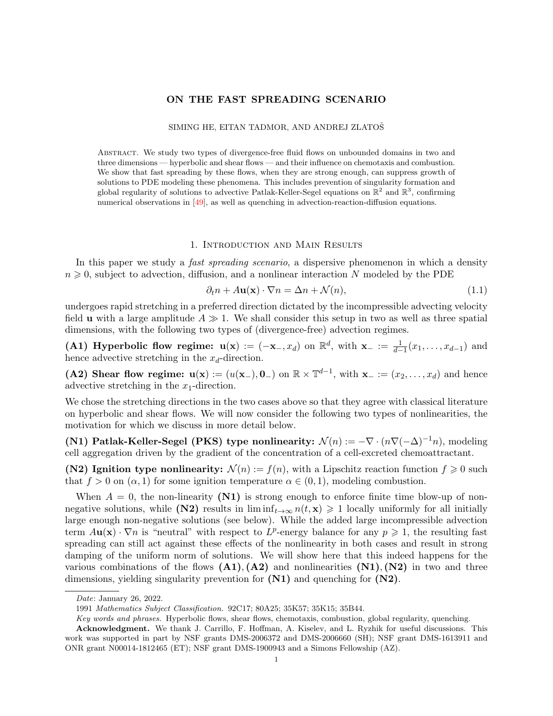# ON THE FAST SPREADING SCENARIO

### SIMING HE, EITAN TADMOR, AND ANDREJ ZLATOS

Abstract. We study two types of divergence-free fluid flows on unbounded domains in two and three dimensions — hyperbolic and shear flows — and their influence on chemotaxis and combustion. We show that fast spreading by these flows, when they are strong enough, can suppress growth of solutions to PDE modeling these phenomena. This includes prevention of singularity formation and global regularity of solutions to advective Patlak-Keller-Segel equations on  $\mathbb{R}^2$  and  $\mathbb{R}^3$ , confirming numerical observations in [\[49\]](#page-16-0), as well as quenching in advection-reaction-diffusion equations.

#### 1. Introduction and Main Results

In this paper we study a *fast spreading scenario*, a dispersive phenomenon in which a density  $n \geq 0$ , subject to advection, diffusion, and a nonlinear interaction N modeled by the PDE

<span id="page-0-0"></span>
$$
\partial_t n + A \mathbf{u}(\mathbf{x}) \cdot \nabla n = \Delta n + \mathcal{N}(n),\tag{1.1}
$$

undergoes rapid stretching in a preferred direction dictated by the incompressible advecting velocity field **u** with a large amplitude  $A \gg 1$ . We shall consider this setup in two as well as three spatial dimensions, with the following two types of (divergence-free) advection regimes.

(A1) Hyperbolic flow regime:  $u(x) := (-x_-, x_d)$  on  $\mathbb{R}^d$ , with  $x_- := \frac{1}{d-1}(x_1, \ldots, x_{d-1})$  and hence advective stretching in the  $x_d$ -direction.

(A2) Shear flow regime:  $u(x) := (u(x_-), 0_-)$  on  $\mathbb{R} \times \mathbb{T}^{d-1}$ , with  $x_- := (x_2, \ldots, x_d)$  and hence advective stretching in the  $x_1$ -direction.

We chose the stretching directions in the two cases above so that they agree with classical literature on hyperbolic and shear flows. We will now consider the following two types of nonlinearities, the motivation for which we discuss in more detail below.

(N1) Patlak-Keller-Segel (PKS) type nonlinearity:  $\mathcal{N}(n) := -\nabla \cdot (n\nabla(-\Delta)^{-1}n)$ , modeling cell aggregation driven by the gradient of the concentration of a cell-excreted chemoattractant.

(N2) Ignition type nonlinearity:  $\mathcal{N}(n) := f(n)$ , with a Lipschitz reaction function  $f \geq 0$  such that  $f > 0$  on  $(\alpha, 1)$  for some ignition temperature  $\alpha \in (0, 1)$ , modeling combustion.

When  $A = 0$ , the non-linearity  $(N1)$  is strong enough to enforce finite time blow-up of nonnegative solutions, while (N2) results in  $\liminf_{t\to\infty} n(t,\mathbf{x}) \geq 1$  locally uniformly for all initially large enough non-negative solutions (see below). While the added large incompressible advection term  $A\mathbf{u}(\mathbf{x})\cdot\nabla n$  is "neutral" with respect to  $L^p$ -energy balance for any  $p\geqslant 1$ , the resulting fast spreading can still act against these effects of the nonlinearity in both cases and result in strong damping of the uniform norm of solutions. We will show here that this indeed happens for the various combinations of the flows  $(A1), (A2)$  and nonlinearities  $(N1), (N2)$  in two and three dimensions, yielding singularity prevention for  $(N1)$  and quenching for  $(N2)$ .

Date: January 26, 2022.

<sup>1991</sup> Mathematics Subject Classification. 92C17; 80A25; 35K57; 35K15; 35B44.

Key words and phrases. Hyperbolic flows, shear flows, chemotaxis, combustion, global regularity, quenching.

Acknowledgment. We thank J. Carrillo, F. Hoffman, A. Kiselev, and L. Ryzhik for useful discussions. This work was supported in part by NSF grants DMS-2006372 and DMS-2006660 (SH); NSF grant DMS-1613911 and ONR grant N00014-1812465 (ET); NSF grant DMS-1900943 and a Simons Fellowship (AZ).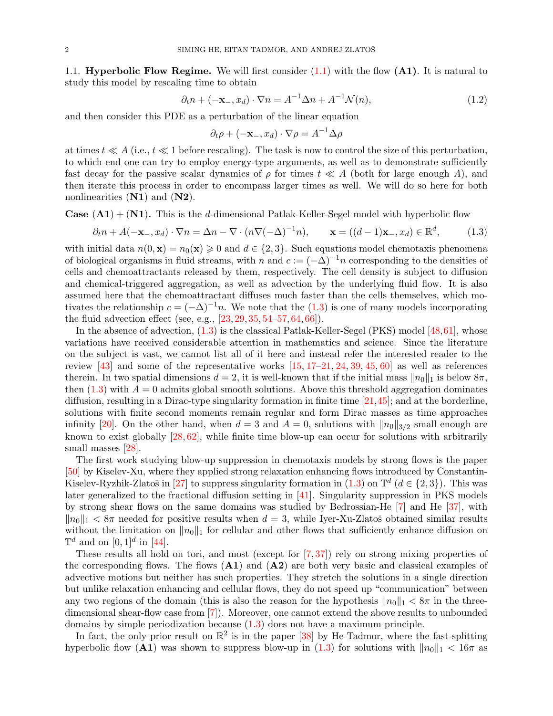1.1. **Hyperbolic Flow Regime.** We will first consider  $(1.1)$  with the flow  $(A1)$ . It is natural to study this model by rescaling time to obtain

$$
\partial_t n + (-\mathbf{x}_-, x_d) \cdot \nabla n = A^{-1} \Delta n + A^{-1} \mathcal{N}(n), \tag{1.2}
$$

and then consider this PDE as a perturbation of the linear equation

<span id="page-1-1"></span><span id="page-1-0"></span>
$$
\partial_t \rho + (-\mathbf{x}_-, x_d) \cdot \nabla \rho = A^{-1} \Delta \rho
$$

at times  $t \ll A$  (i.e.,  $t \ll 1$  before rescaling). The task is now to control the size of this perturbation, to which end one can try to employ energy-type arguments, as well as to demonstrate sufficiently fast decay for the passive scalar dynamics of  $\rho$  for times  $t \ll A$  (both for large enough A), and then iterate this process in order to encompass larger times as well. We will do so here for both nonlinearities  $(N1)$  and  $(N2)$ .

**Case**  $(A1) + (N1)$ . This is the d-dimensional Patlak-Keller-Segel model with hyperbolic flow

$$
\partial_t n + A(-\mathbf{x}_-, x_d) \cdot \nabla n = \Delta n - \nabla \cdot (n\nabla (-\Delta)^{-1} n), \qquad \mathbf{x} = ((d-1)\mathbf{x}_-, x_d) \in \mathbb{R}^d,
$$
 (1.3)

with initial data  $n(0, x) = n_0(x) \geq 0$  and  $d \in \{2, 3\}$ . Such equations model chemotaxis phenomena of biological organisms in fluid streams, with n and  $c := (-\Delta)^{-1}n$  corresponding to the densities of cells and chemoattractants released by them, respectively. The cell density is subject to diffusion and chemical-triggered aggregation, as well as advection by the underlying fluid flow. It is also assumed here that the chemoattractant diffuses much faster than the cells themselves, which motivates the relationship  $c = (-\Delta)^{-1}n$ . We note that the [\(1.3\)](#page-1-0) is one of many models incorporating the fluid advection effect (see, e.g., [\[23,](#page-15-0) [29,](#page-15-1) [35,](#page-16-1) [54–](#page-16-2)[57,](#page-16-3) [64,](#page-17-0) [66\]](#page-17-1)).

In the absence of advection, [\(1.3\)](#page-1-0) is the classical Patlak-Keller-Segel (PKS) model [\[48,](#page-16-4)[61\]](#page-16-5), whose variations have received considerable attention in mathematics and science. Since the literature on the subject is vast, we cannot list all of it here and instead refer the interested reader to the review [\[43\]](#page-16-6) and some of the representative works [\[15,](#page-15-2) [17–](#page-15-3)[21,](#page-15-4) [24,](#page-15-5) [39,](#page-16-7) [45,](#page-16-8) [60\]](#page-16-9) as well as references therein. In two spatial dimensions  $d = 2$ , it is well-known that if the initial mass  $\|n_0\|_1$  is below  $8\pi$ , then  $(1.3)$  with  $A = 0$  admits global smooth solutions. Above this threshold aggregation dominates diffusion, resulting in a Dirac-type singularity formation in finite time [\[21,](#page-15-4)[45\]](#page-16-8); and at the borderline, solutions with finite second moments remain regular and form Dirac masses as time approaches infinity [\[20\]](#page-15-6). On the other hand, when  $d = 3$  and  $A = 0$ , solutions with  $||n_0||_{3/2}$  small enough are known to exist globally [\[28,](#page-15-7) [62\]](#page-16-10), while finite time blow-up can occur for solutions with arbitrarily small masses [\[28\]](#page-15-7).

The first work studying blow-up suppression in chemotaxis models by strong flows is the paper [\[50\]](#page-16-11) by Kiselev-Xu, where they applied strong relaxation enhancing flows introduced by Constantin-Kiselev-Ryzhik-Zlatoš in [\[27\]](#page-15-8) to suppress singularity formation in  $(1.3)$  on  $\mathbb{T}^d$   $(d \in \{2,3\})$ . This was later generalized to the fractional diffusion setting in [\[41\]](#page-16-12). Singularity suppression in PKS models by strong shear flows on the same domains was studied by Bedrossian-He [\[7\]](#page-15-9) and He [\[37\]](#page-16-13), with  $\|n_0\|_1 < 8\pi$  needed for positive results when  $d = 3$ , while Iyer-Xu-Zlatoš obtained similar results without the limitation on  $||n_0||_1$  for cellular and other flows that sufficiently enhance diffusion on  $\mathbb{T}^d$  and on  $[0,1]^d$  in [\[44\]](#page-16-14).

These results all hold on tori, and most (except for [\[7,](#page-15-9) [37\]](#page-16-13)) rely on strong mixing properties of the corresponding flows. The flows  $(A1)$  and  $(A2)$  are both very basic and classical examples of advective motions but neither has such properties. They stretch the solutions in a single direction but unlike relaxation enhancing and cellular flows, they do not speed up "communication" between any two regions of the domain (this is also the reason for the hypothesis  $||n_0||_1 < 8\pi$  in the threedimensional shear-flow case from [\[7\]](#page-15-9)). Moreover, one cannot extend the above results to unbounded domains by simple periodization because [\(1.3\)](#page-1-0) does not have a maximum principle.

In fact, the only prior result on  $\mathbb{R}^2$  is in the paper [\[38\]](#page-16-15) by He-Tadmor, where the fast-splitting hyperbolic flow (A1) was shown to suppress blow-up in [\(1.3\)](#page-1-0) for solutions with  $||n_0||_1 < 16\pi$  as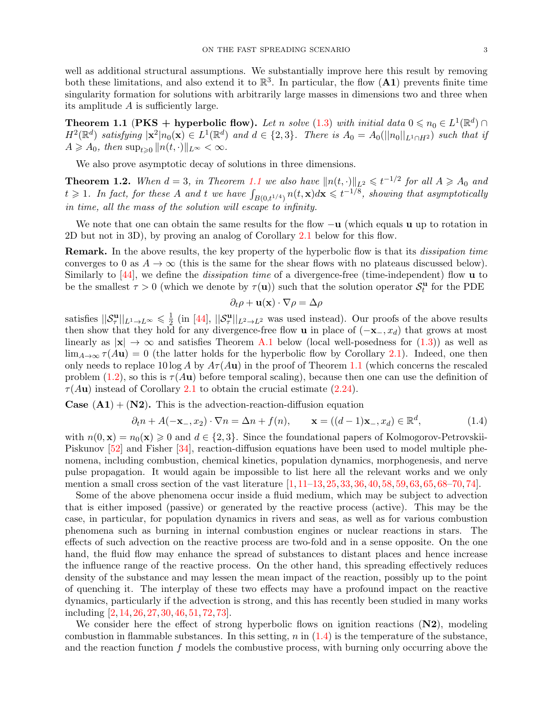well as additional structural assumptions. We substantially improve here this result by removing both these limitations, and also extend it to  $\mathbb{R}^3$ . In particular, the flow  $(A1)$  prevents finite time singularity formation for solutions with arbitrarily large masses in dimensions two and three when its amplitude A is sufficiently large.

<span id="page-2-0"></span>**Theorem 1.1** (PKS + hyperbolic flow). Let n solve [\(1.3\)](#page-1-0) with initial data  $0 \le n_0 \in L^1(\mathbb{R}^d) \cap$  $H^2(\mathbb{R}^d)$  satisfying  $|\mathbf{x}^2|n_0(\mathbf{x}) \in L^1(\mathbb{R}^d)$  and  $d \in \{2,3\}$ . There is  $A_0 = A_0(||n_0||_{L^1 \cap H^2})$  such that if  $A \geq A_0$ , then  $\sup_{t>0} ||n(t, \cdot)||_{L^{\infty}} < \infty$ .

We also prove asymptotic decay of solutions in three dimensions.

<span id="page-2-2"></span>**Theorem 1.2.** When  $d = 3$ , in Theorem [1.1](#page-2-0) we also have  $||n(t, \cdot)||_{L^2} \leqslant t^{-1/2}$  for all  $A \geqslant A_0$  and  $t \geqslant 1$ . In fact, for these A and t we have  $\int_{B(0,t^{1/4})} n(t,\mathbf{x})d\mathbf{x} \leqslant t^{-1/8}$ , showing that asymptotically in time, all the mass of the solution will escape to infinity.

We note that one can obtain the same results for the flow  $-\mathbf{u}$  (which equals u up to rotation in 2D but not in 3D), by proving an analog of Corollary [2.1](#page-5-0) below for this flow.

**Remark.** In the above results, the key property of the hyperbolic flow is that its *dissipation time* converges to 0 as  $A \to \infty$  (this is the same for the shear flows with no plateaus discussed below). Similarly to  $[44]$ , we define the *dissipation time* of a divergence-free (time-independent) flow **u** to be the smallest  $\tau > 0$  (which we denote by  $\tau(\mathbf{u})$ ) such that the solution operator  $\mathcal{S}_t^{\mathbf{u}}$  for the PDE

<span id="page-2-1"></span>
$$
\partial_t \rho + \mathbf{u}(\mathbf{x}) \cdot \nabla \rho = \Delta \rho
$$

satisfies  $||\mathcal{S}_{\tau}^{\mathbf{u}}||_{L^1\to L^{\infty}} \leq \frac{1}{2}$  $\frac{1}{2}$  (in [\[44\]](#page-16-14),  $||\mathcal{S}_{\tau}^{\mathbf{u}}||_{L^2 \to L^2}$  was used instead). Our proofs of the above results then show that they hold for any divergence-free flow **u** in place of  $(-\mathbf{x}_-, x_d)$  that grows at most linearly as  $|x| \to \infty$  and satisfies Theorem [A.1](#page-11-0) below (local well-posedness for [\(1.3\)](#page-1-0)) as well as  $\lim_{A\to\infty} \tau(Au) = 0$  (the latter holds for the hyperbolic flow by Corollary [2.1\)](#page-5-0). Indeed, one then only needs to replace 10 log A by  $A\tau(Au)$  in the proof of Theorem [1.1](#page-2-0) (which concerns the rescaled problem [\(1.2\)](#page-1-1), so this is  $\tau(Au)$  before temporal scaling), because then one can use the definition of  $\tau(Au)$  instead of Corollary [2.1](#page-5-0) to obtain the crucial estimate [\(2.24\)](#page-8-0).

**Case**  $(A1) + (N2)$ . This is the advection-reaction-diffusion equation

$$
\partial_t n + A(-\mathbf{x}_-, x_2) \cdot \nabla n = \Delta n + f(n), \qquad \mathbf{x} = ((d-1)\mathbf{x}_-, x_d) \in \mathbb{R}^d,
$$
\n(1.4)

with  $n(0, \mathbf{x}) = n_0(\mathbf{x}) \geq 0$  and  $d \in \{2, 3\}$ . Since the foundational papers of Kolmogorov-Petrovskii-Piskunov [\[52\]](#page-16-16) and Fisher [\[34\]](#page-16-17), reaction-diffusion equations have been used to model multiple phenomena, including combustion, chemical kinetics, population dynamics, morphogenesis, and nerve pulse propagation. It would again be impossible to list here all the relevant works and we only mention a small cross section of the vast literature  $[1, 11-13, 25, 33, 36, 40, 58, 59, 63, 65, 68-70, 74]$  $[1, 11-13, 25, 33, 36, 40, 58, 59, 63, 65, 68-70, 74]$  $[1, 11-13, 25, 33, 36, 40, 58, 59, 63, 65, 68-70, 74]$  $[1, 11-13, 25, 33, 36, 40, 58, 59, 63, 65, 68-70, 74]$  $[1, 11-13, 25, 33, 36, 40, 58, 59, 63, 65, 68-70, 74]$  $[1, 11-13, 25, 33, 36, 40, 58, 59, 63, 65, 68-70, 74]$  $[1, 11-13, 25, 33, 36, 40, 58, 59, 63, 65, 68-70, 74]$  $[1, 11-13, 25, 33, 36, 40, 58, 59, 63, 65, 68-70, 74]$  $[1, 11-13, 25, 33, 36, 40, 58, 59, 63, 65, 68-70, 74]$  $[1, 11-13, 25, 33, 36, 40, 58, 59, 63, 65, 68-70, 74]$  $[1, 11-13, 25, 33, 36, 40, 58, 59, 63, 65, 68-70, 74]$  $[1, 11-13, 25, 33, 36, 40, 58, 59, 63, 65, 68-70, 74]$  $[1, 11-13, 25, 33, 36, 40, 58, 59, 63, 65, 68-70, 74]$  $[1, 11-13, 25, 33, 36, 40, 58, 59, 63, 65, 68-70, 74]$  $[1, 11-13, 25, 33, 36, 40, 58, 59, 63, 65, 68-70, 74]$  $[1, 11-13, 25, 33, 36, 40, 58, 59, 63, 65, 68-70, 74]$  $[1, 11-13, 25, 33, 36, 40, 58, 59, 63, 65, 68-70, 74]$  $[1, 11-13, 25, 33, 36, 40, 58, 59, 63, 65, 68-70, 74]$  $[1, 11-13, 25, 33, 36, 40, 58, 59, 63, 65, 68-70, 74]$  $[1, 11-13, 25, 33, 36, 40, 58, 59, 63, 65, 68-70, 74]$  $[1, 11-13, 25, 33, 36, 40, 58, 59, 63, 65, 68-70, 74]$  $[1, 11-13, 25, 33, 36, 40, 58, 59, 63, 65, 68-70, 74]$  $[1, 11-13, 25, 33, 36, 40, 58, 59, 63, 65, 68-70, 74]$ .

Some of the above phenomena occur inside a fluid medium, which may be subject to advection that is either imposed (passive) or generated by the reactive process (active). This may be the case, in particular, for population dynamics in rivers and seas, as well as for various combustion phenomena such as burning in internal combustion engines or nuclear reactions in stars. The effects of such advection on the reactive process are two-fold and in a sense opposite. On the one hand, the fluid flow may enhance the spread of substances to distant places and hence increase the influence range of the reactive process. On the other hand, this spreading effectively reduces density of the substance and may lessen the mean impact of the reaction, possibly up to the point of quenching it. The interplay of these two effects may have a profound impact on the reactive dynamics, particularly if the advection is strong, and this has recently been studied in many works including [\[2,](#page-15-14) [14,](#page-15-15) [26,](#page-15-16) [27,](#page-15-8) [30,](#page-16-24) [46,](#page-16-25) [51,](#page-16-26) [72,](#page-17-6) [73\]](#page-17-7).

We consider here the effect of strong hyperbolic flows on ignition reactions  $(N2)$ , modeling combustion in flammable substances. In this setting,  $n$  in  $(1.4)$  is the temperature of the substance, and the reaction function  $f$  models the combustive process, with burning only occurring above the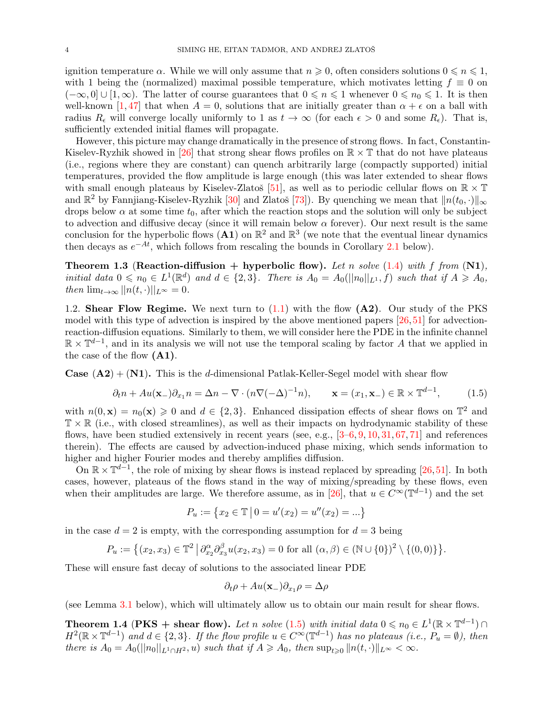ignition temperature  $\alpha$ . While we will only assume that  $n \geqslant 0$ , often considers solutions  $0 \leqslant n \leqslant 1$ , with 1 being the (normalized) maximal possible temperature, which motivates letting  $f \equiv 0$  on  $(-\infty, 0] \cup [1, \infty)$ . The latter of course guarantees that  $0 \le n \le 1$  whenever  $0 \le n_0 \le 1$ . It is then well-known [\[1,](#page-15-10)[47\]](#page-16-27) that when  $A = 0$ , solutions that are initially greater than  $\alpha + \epsilon$  on a ball with radius  $R_{\epsilon}$  will converge locally uniformly to 1 as  $t \to \infty$  (for each  $\epsilon > 0$  and some  $R_{\epsilon}$ ). That is, sufficiently extended initial flames will propagate.

However, this picture may change dramatically in the presence of strong flows. In fact, Constantin-Kiselev-Ryzhik showed in [\[26\]](#page-15-16) that strong shear flows profiles on  $\mathbb{R} \times \mathbb{T}$  that do not have plateaus (i.e., regions where they are constant) can quench arbitrarily large (compactly supported) initial temperatures, provided the flow amplitude is large enough (this was later extended to shear flows with small enough plateaus by Kiselev-Zlatoš [\[51\]](#page-16-26), as well as to periodic cellular flows on  $\mathbb{R} \times \mathbb{T}$ and  $\mathbb{R}^2$  by Fannjiang-Kiselev-Ryzhik [\[30\]](#page-16-24) and Zlatoš [\[73\]](#page-17-7)). By quenching we mean that  $||n(t_0, \cdot)||_{\infty}$ drops below  $\alpha$  at some time  $t_0$ , after which the reaction stops and the solution will only be subject to advection and diffusive decay (since it will remain below  $\alpha$  forever). Our next result is the same conclusion for the hyperbolic flows  $(A1)$  on  $\mathbb{R}^2$  and  $\mathbb{R}^3$  (we note that the eventual linear dynamics then decays as  $e^{-At}$ , which follows from rescaling the bounds in Corollary [2.1](#page-5-0) below).

<span id="page-3-2"></span>**Theorem 1.3 (Reaction-diffusion + hyperbolic flow).** Let n solve  $(1.4)$  with f from  $(N1)$ , initial data  $0 \leq n_0 \in L^1(\mathbb{R}^d)$  and  $d \in \{2,3\}$ . There is  $A_0 = A_0(||n_0||_{L^1}, f)$  such that if  $A \geq A_0$ , then  $\lim_{t\to\infty} ||n(t,\cdot)||_{L^{\infty}} = 0.$ 

1.2. Shear Flow Regime. We next turn to  $(1.1)$  with the flow  $(A2)$ . Our study of the PKS model with this type of advection is inspired by the above mentioned papers  $[26,51]$  $[26,51]$  for advectionreaction-diffusion equations. Similarly to them, we will consider here the PDE in the infinite channel  $\mathbb{R} \times \mathbb{T}^{d-1}$ , and in its analysis we will not use the temporal scaling by factor A that we applied in the case of the flow (A1).

**Case (A2)** + (N1). This is the d-dimensional Patlak-Keller-Segel model with shear flow

$$
\partial_t n + Au(\mathbf{x}_-) \partial_{x_1} n = \Delta n - \nabla \cdot (n \nabla (-\Delta)^{-1} n), \qquad \mathbf{x} = (x_1, \mathbf{x}_-) \in \mathbb{R} \times \mathbb{T}^{d-1}, \tag{1.5}
$$

with  $n(0, \mathbf{x}) = n_0(\mathbf{x}) \geq 0$  and  $d \in \{2, 3\}$ . Enhanced dissipation effects of shear flows on  $\mathbb{T}^2$  and  $\mathbb{T} \times \mathbb{R}$  (i.e., with closed streamlines), as well as their impacts on hydrodynamic stability of these flows, have been studied extensively in recent years (see, e.g.,  $[3-6, 9, 10, 31, 67, 71]$  $[3-6, 9, 10, 31, 67, 71]$  $[3-6, 9, 10, 31, 67, 71]$  $[3-6, 9, 10, 31, 67, 71]$  $[3-6, 9, 10, 31, 67, 71]$  $[3-6, 9, 10, 31, 67, 71]$  $[3-6, 9, 10, 31, 67, 71]$  $[3-6, 9, 10, 31, 67, 71]$  $[3-6, 9, 10, 31, 67, 71]$  $[3-6, 9, 10, 31, 67, 71]$  $[3-6, 9, 10, 31, 67, 71]$  $[3-6, 9, 10, 31, 67, 71]$  and references therein). The effects are caused by advection-induced phase mixing, which sends information to higher and higher Fourier modes and thereby amplifies diffusion.

On  $\mathbb{R} \times \mathbb{T}^{d-1}$ , the role of mixing by shear flows is instead replaced by spreading [\[26,](#page-15-16)[51\]](#page-16-26). In both cases, however, plateaus of the flows stand in the way of mixing/spreading by these flows, even when their amplitudes are large. We therefore assume, as in [\[26\]](#page-15-16), that  $u \in C^{\infty}(\mathbb{T}^{d-1})$  and the set

<span id="page-3-0"></span>
$$
P_u := \{ x_2 \in \mathbb{T} \mid 0 = u'(x_2) = u''(x_2) = \dots \}
$$

in the case  $d = 2$  is empty, with the corresponding assumption for  $d = 3$  being

$$
P_u := \{(x_2, x_3) \in \mathbb{T}^2 \mid \partial_{x_2}^{\alpha} \partial_{x_3}^{\beta} u(x_2, x_3) = 0 \text{ for all } (\alpha, \beta) \in (\mathbb{N} \cup \{0\})^2 \setminus \{(0, 0)\}\}.
$$

These will ensure fast decay of solutions to the associated linear PDE

$$
\partial_t \rho + Au(\mathbf{x}_-) \partial_{x_1} \rho = \Delta \rho
$$

(see Lemma [3.1](#page-9-0) below), which will ultimately allow us to obtain our main result for shear flows.

<span id="page-3-1"></span>**Theorem 1.4 (PKS + shear flow).** Let n solve [\(1.5\)](#page-3-0) with initial data  $0 \le n_0 \in L^1(\mathbb{R} \times \mathbb{T}^{d-1}) \cap$  $H^2(\mathbb{R}\times\mathbb{T}^{d-1})$  and  $d \in \{2,3\}$ . If the flow profile  $u \in C^{\infty}(\mathbb{T}^{d-1})$  has no plateaus (i.e.,  $P_u = \emptyset$ ), then there is  $A_0 = A_0(||n_0||_{L^1 \cap H^2}, u)$  such that if  $A \ge A_0$ , then  $\sup_{t>0} ||n(t, \cdot)||_{L^{\infty}} < \infty$ .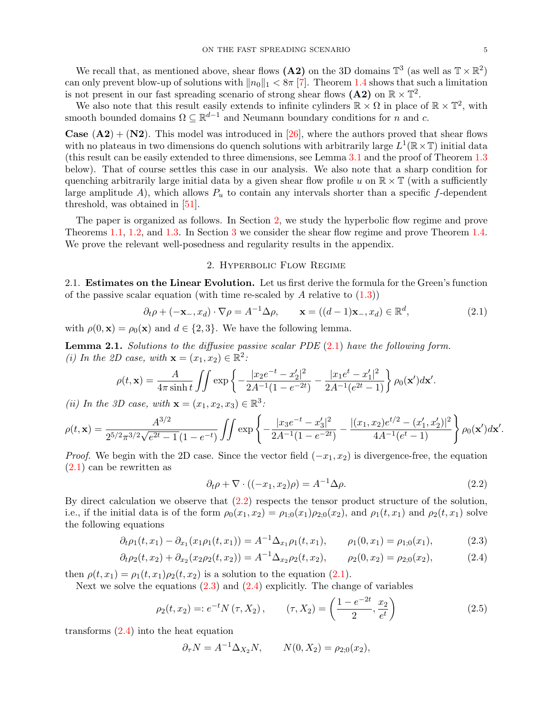<span id="page-4-5"></span><span id="page-4-4"></span><span id="page-4-3"></span><span id="page-4-2"></span><span id="page-4-1"></span>.

We recall that, as mentioned above, shear flows (A2) on the 3D domains  $\mathbb{T}^3$  (as well as  $\mathbb{T} \times \mathbb{R}^2$ ) can only prevent blow-up of solutions with  $||n_0||_1 < 8\pi$  [\[7\]](#page-15-9). Theorem [1.4](#page-3-1) shows that such a limitation is not present in our fast spreading scenario of strong shear flows (A2) on  $\mathbb{R} \times \mathbb{T}^2$ .

We also note that this result easily extends to infinite cylinders  $\mathbb{R} \times \Omega$  in place of  $\mathbb{R} \times \mathbb{T}^2$ , with smooth bounded domains  $\Omega \subseteq \mathbb{R}^{d-1}$  and Neumann boundary conditions for n and c.

**Case**  $(A2) + (N2)$ . This model was introduced in [\[26\]](#page-15-16), where the authors proved that shear flows with no plateaus in two dimensions do quench solutions with arbitrarily large  $L^1(\mathbb{R} \times \mathbb{T})$  initial data (this result can be easily extended to three dimensions, see Lemma [3.1](#page-9-0) and the proof of Theorem [1.3](#page-3-2) below). That of course settles this case in our analysis. We also note that a sharp condition for quenching arbitrarily large initial data by a given shear flow profile u on  $\mathbb{R} \times \mathbb{T}$  (with a sufficiently large amplitude A), which allows  $P_u$  to contain any intervals shorter than a specific f-dependent threshold, was obtained in [\[51\]](#page-16-26).

The paper is organized as follows. In Section [2,](#page-4-0) we study the hyperbolic flow regime and prove Theorems [1.1,](#page-2-0) [1.2,](#page-2-2) and [1.3.](#page-3-2) In Section [3](#page-9-1) we consider the shear flow regime and prove Theorem [1.4.](#page-3-1) We prove the relevant well-posedness and regularity results in the appendix.

## 2. Hyperbolic Flow Regime

<span id="page-4-0"></span>2.1. Estimates on the Linear Evolution. Let us first derive the formula for the Green's function of the passive scalar equation (with time re-scaled by  $A$  relative to  $(1.3)$ )

$$
\partial_t \rho + (-\mathbf{x}_-, x_d) \cdot \nabla \rho = A^{-1} \Delta \rho, \qquad \mathbf{x} = ((d-1)\mathbf{x}_-, x_d) \in \mathbb{R}^d,
$$
\n(2.1)

with  $\rho(0, \mathbf{x}) = \rho_0(\mathbf{x})$  and  $d \in \{2, 3\}$ . We have the following lemma.

<span id="page-4-6"></span>**Lemma 2.1.** Solutions to the diffusive passive scalar PDE  $(2.1)$  have the following form. (i) In the 2D case, with  $\mathbf{x} = (x_1, x_2) \in \mathbb{R}^2$ :

$$
\rho(t, \mathbf{x}) = \frac{A}{4\pi \sinh t} \iint \exp\left\{-\frac{|x_2 e^{-t} - x_2'|^2}{2A^{-1}(1 - e^{-2t})} - \frac{|x_1 e^{t} - x_1'|^2}{2A^{-1}(e^{2t} - 1)}\right\} \rho_0(\mathbf{x}') d\mathbf{x}'.
$$

(ii) In the 3D case, with  $\mathbf{x} = (x_1, x_2, x_3) \in \mathbb{R}^3$ :

$$
\rho(t, \mathbf{x}) = \frac{A^{3/2}}{2^{5/2}\pi^{3/2}\sqrt{e^{2t} - 1}(1 - e^{-t})} \iint \exp\left\{-\frac{|x_3e^{-t} - x_3'|^2}{2A^{-1}(1 - e^{-2t})} - \frac{|(x_1, x_2)e^{t/2} - (x_1', x_2')|^2}{4A^{-1}(e^t - 1)}\right\} \rho_0(\mathbf{x}')d\mathbf{x}'
$$

*Proof.* We begin with the 2D case. Since the vector field  $(-x_1, x_2)$  is divergence-free, the equation [\(2.1\)](#page-4-1) can be rewritten as

$$
\partial_t \rho + \nabla \cdot ((-x_1, x_2)\rho) = A^{-1} \Delta \rho. \tag{2.2}
$$

By direct calculation we observe that [\(2.2\)](#page-4-2) respects the tensor product structure of the solution, i.e., if the initial data is of the form  $\rho_0(x_1, x_2) = \rho_{1;0}(x_1)\rho_{2;0}(x_2)$ , and  $\rho_1(t, x_1)$  and  $\rho_2(t, x_1)$  solve the following equations

$$
\partial_t \rho_1(t, x_1) - \partial_{x_1}(x_1 \rho_1(t, x_1)) = A^{-1} \Delta_{x_1} \rho_1(t, x_1), \qquad \rho_1(0, x_1) = \rho_{1,0}(x_1), \tag{2.3}
$$

$$
\partial_t \rho_2(t, x_2) + \partial_{x_2}(x_2 \rho_2(t, x_2)) = A^{-1} \Delta_{x_2} \rho_2(t, x_2), \qquad \rho_2(0, x_2) = \rho_{2,0}(x_2), \tag{2.4}
$$

then  $\rho(t, x_1) = \rho_1(t, x_1)\rho_2(t, x_2)$  is a solution to the equation [\(2.1\)](#page-4-1).

Next we solve the equations  $(2.3)$  and  $(2.4)$  explicitly. The change of variables

$$
\rho_2(t, x_2) =: e^{-t} N(\tau, X_2), \qquad (\tau, X_2) = \left(\frac{1 - e^{-2t}}{2}, \frac{x_2}{e^t}\right) \tag{2.5}
$$

transforms [\(2.4\)](#page-4-4) into the heat equation

$$
\partial_{\tau} N = A^{-1} \Delta_{X_2} N
$$
,  $N(0, X_2) = \rho_{2,0}(x_2)$ ,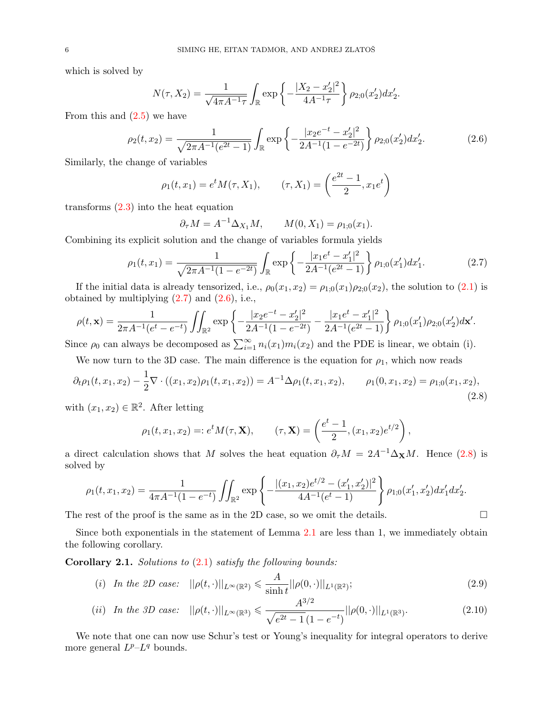which is solved by

$$
N(\tau, X_2) = \frac{1}{\sqrt{4\pi A^{-1}\tau}} \int_{\mathbb{R}} \exp\left\{-\frac{|X_2 - x_2'|^2}{4A^{-1}\tau}\right\} \rho_{2;0}(x_2') dx_2'.
$$

From this and  $(2.5)$  we have

$$
\rho_2(t, x_2) = \frac{1}{\sqrt{2\pi A^{-1}(e^{2t} - 1)}} \int_{\mathbb{R}} \exp\left\{-\frac{|x_2 e^{-t} - x_2'|^2}{2A^{-1}(1 - e^{-2t})}\right\} \rho_{2;0}(x_2') dx_2'.\tag{2.6}
$$

Similarly, the change of variables

$$
\rho_1(t, x_1) = e^t M(\tau, X_1), \qquad (\tau, X_1) = \left(\frac{e^{2t} - 1}{2}, x_1 e^t\right)
$$

transforms [\(2.3\)](#page-4-3) into the heat equation

$$
\partial_{\tau} M = A^{-1} \Delta_{X_1} M,
$$
  $M(0, X_1) = \rho_{1,0}(x_1).$ 

Combining its explicit solution and the change of variables formula yields

$$
\rho_1(t,x_1) = \frac{1}{\sqrt{2\pi A^{-1}(1 - e^{-2t})}} \int_{\mathbb{R}} \exp\left\{-\frac{|x_1 e^t - x_1'|^2}{2A^{-1}(e^{2t} - 1)}\right\} \rho_{1;0}(x_1') dx_1'.\tag{2.7}
$$

<span id="page-5-5"></span><span id="page-5-4"></span><span id="page-5-3"></span><span id="page-5-2"></span><span id="page-5-1"></span>,

If the initial data is already tensorized, i.e.,  $\rho_0(x_1, x_2) = \rho_{1;0}(x_1)\rho_{2;0}(x_2)$ , the solution to [\(2.1\)](#page-4-1) is obtained by multiplying  $(2.7)$  and  $(2.6)$ , i.e.,

$$
\rho(t,\mathbf{x}) = \frac{1}{2\pi A^{-1}(e^t - e^{-t})} \iint_{\mathbb{R}^2} \exp\left\{-\frac{|x_2e^{-t} - x_2'|^2}{2A^{-1}(1 - e^{-2t})} - \frac{|x_1e^t - x_1'|^2}{2A^{-1}(e^{2t} - 1)}\right\} \rho_{1,0}(x_1')\rho_{2,0}(x_2')d\mathbf{x}'.
$$

Since  $\rho_0$  can always be decomposed as  $\sum_{i=1}^{\infty} n_i(x_1) m_i(x_2)$  and the PDE is linear, we obtain (i).

We now turn to the 3D case. The main difference is the equation for  $\rho_1$ , which now reads

$$
\partial_t \rho_1(t, x_1, x_2) - \frac{1}{2} \nabla \cdot ((x_1, x_2) \rho_1(t, x_1, x_2)) = A^{-1} \Delta \rho_1(t, x_1, x_2), \qquad \rho_1(0, x_1, x_2) = \rho_{1;0}(x_1, x_2), \tag{2.8}
$$

with  $(x_1, x_2) \in \mathbb{R}^2$ . After letting

$$
\rho_1(t, x_1, x_2) =: e^t M(\tau, \mathbf{X}), \qquad (\tau, \mathbf{X}) = \left(\frac{e^t - 1}{2}, (x_1, x_2)e^{t/2}\right)
$$

a direct calculation shows that M solves the heat equation  $\partial_{\tau}M = 2A^{-1}\Delta_{\mathbf{X}}M$ . Hence [\(2.8\)](#page-5-3) is solved by

$$
\rho_1(t, x_1, x_2) = \frac{1}{4\pi A^{-1}(1 - e^{-t})} \iint_{\mathbb{R}^2} \exp\left\{-\frac{|(x_1, x_2)e^{t/2} - (x_1', x_2')|^2}{4A^{-1}(e^t - 1)}\right\} \rho_{1,0}(x_1', x_2') dx_1' dx_2'.
$$

The rest of the proof is the same as in the 2D case, so we omit the details.  $\square$ 

Since both exponentials in the statement of Lemma [2.1](#page-4-6) are less than 1, we immediately obtain the following corollary.

<span id="page-5-0"></span>**Corollary 2.1.** Solutions to  $(2.1)$  satisfy the following bounds:

(i) In the 2D case: 
$$
||\rho(t, \cdot)||_{L^{\infty}(\mathbb{R}^2)} \leq \frac{A}{\sinh t} ||\rho(0, \cdot)||_{L^1(\mathbb{R}^2)};
$$
 (2.9)

(ii) In the 3D case: 
$$
||\rho(t, \cdot)||_{L^{\infty}(\mathbb{R}^3)} \leq \frac{A^{3/2}}{\sqrt{e^{2t} - 1}(1 - e^{-t})} ||\rho(0, \cdot)||_{L^1(\mathbb{R}^3)}.
$$
 (2.10)

We note that one can now use Schur's test or Young's inequality for integral operators to derive more general  $L^p-L^q$  bounds.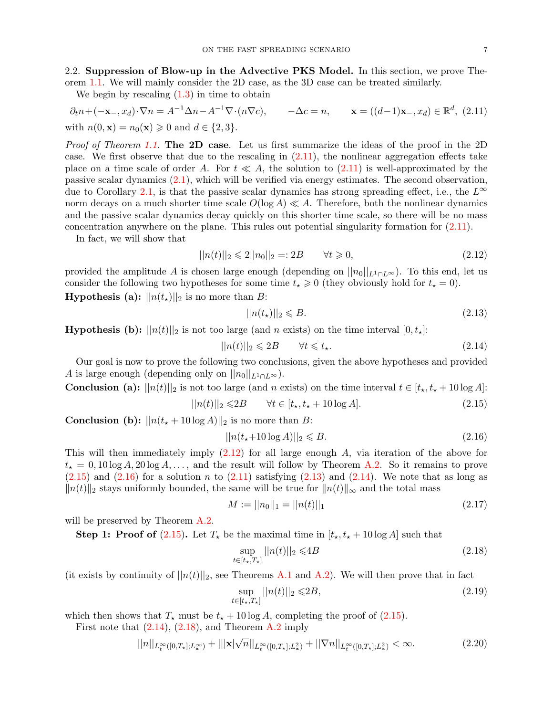2.2. Suppression of Blow-up in the Advective PKS Model. In this section, we prove Theorem [1.1.](#page-2-0) We will mainly consider the 2D case, as the 3D case can be treated similarly.

We begin by rescaling  $(1.3)$  in time to obtain

$$
\partial_t n + (-\mathbf{x}_-, x_d) \cdot \nabla n = A^{-1} \Delta n - A^{-1} \nabla \cdot (n \nabla c), \qquad -\Delta c = n, \qquad \mathbf{x} = ((d-1)\mathbf{x}_-, x_d) \in \mathbb{R}^d, \tag{2.11}
$$
\nwith  $n(0, \mathbf{x}) = n_0(\mathbf{x}) \ge 0$  and  $d \in \{2, 3\}.$ 

Proof of Theorem [1.1.](#page-2-0) The 2D case. Let us first summarize the ideas of the proof in the 2D case. We first observe that due to the rescaling in [\(2.11\)](#page-6-0), the nonlinear aggregation effects take place on a time scale of order A. For  $t \ll A$ , the solution to [\(2.11\)](#page-6-0) is well-approximated by the passive scalar dynamics [\(2.1\)](#page-4-1), which will be verified via energy estimates. The second observation, due to Corollary [2.1,](#page-5-0) is that the passive scalar dynamics has strong spreading effect, i.e., the  $L^{\infty}$ norm decays on a much shorter time scale  $O(\log A) \ll A$ . Therefore, both the nonlinear dynamics and the passive scalar dynamics decay quickly on this shorter time scale, so there will be no mass concentration anywhere on the plane. This rules out potential singularity formation for [\(2.11\)](#page-6-0).

In fact, we will show that

$$
||n(t)||_2 \le 2||n_0||_2 = 2B \qquad \forall t \ge 0,
$$
\n(2.12)

provided the amplitude A is chosen large enough (depending on  $||n_0||_{L^1 \cap L^{\infty}}$ ). To this end, let us consider the following two hypotheses for some time  $t_{\star} \geq 0$  (they obviously hold for  $t_{\star} = 0$ ).

**Hypothesis (a):**  $||n(t_{\star})||_2$  is no more than B:

<span id="page-6-5"></span><span id="page-6-4"></span><span id="page-6-2"></span><span id="page-6-1"></span><span id="page-6-0"></span>
$$
||n(t_{\star})||_2 \leq B. \tag{2.13}
$$

**Hypothesis (b):**  $||n(t)||_2$  is not too large (and n exists) on the time interval  $[0, t_*]$ :

$$
||n(t)||_2 \leq 2B \qquad \forall t \leq t_\star. \tag{2.14}
$$

Our goal is now to prove the following two conclusions, given the above hypotheses and provided A is large enough (depending only on  $||n_0||_{L^1 \cap L^{\infty}}$ ).

**Conclusion (a):** 
$$
||n(t)||_2
$$
 is not too large (and *n* exists) on the time interval  $t \in [t_{\star}, t_{\star} + 10 \log A]$ :

$$
||n(t)||_2 \leq 2B \qquad \forall t \in [t_\star, t_\star + 10 \log A]. \tag{2.15}
$$

**Conclusion** (b):  $||n(t_{\star} + 10 \log A)||_2$  is no more than B:

<span id="page-6-3"></span>
$$
||n(t_{\star}+10\log A)||_2 \leq B. \tag{2.16}
$$

This will then immediately imply  $(2.12)$  for all large enough A, via iteration of the above for  $t_{\star} = 0, 10 \log A, 20 \log A, \ldots$ , and the result will follow by Theorem [A.2.](#page-13-0) So it remains to prove  $(2.15)$  and  $(2.16)$  for a solution n to  $(2.11)$  satisfying  $(2.13)$  and  $(2.14)$ . We note that as long as  $||n(t)||_2$  stays uniformly bounded, the same will be true for  $||n(t)||_{∞}$  and the total mass

<span id="page-6-9"></span>
$$
M := ||n_0||_1 = ||n(t)||_1 \tag{2.17}
$$

will be preserved by Theorem [A.2.](#page-13-0)

**Step 1: Proof of [\(2.15\)](#page-6-2).** Let  $T_{\star}$  be the maximal time in  $[t_{\star}, t_{\star} + 10 \log A]$  such that

<span id="page-6-6"></span>
$$
\sup_{t \in [t_*,T_*]} ||n(t)||_2 \leq 4B \tag{2.18}
$$

(it exists by continuity of  $||n(t)||_2$ , see Theorems [A.1](#page-11-0) and [A.2\)](#page-13-0). We will then prove that in fact

<span id="page-6-8"></span><span id="page-6-7"></span>
$$
\sup_{t \in [t_\star, T_\star]} ||n(t)||_2 \leq 2B,\tag{2.19}
$$

which then shows that  $T_{\star}$  must be  $t_{\star}$  + 10 log A, completing the proof of [\(2.15\)](#page-6-2).

First note that  $(2.14)$ ,  $(2.18)$ , and Theorem [A.2](#page-13-0) imply √

$$
||n||_{L_t^{\infty}([0,T_x];L_x^{\infty})} + |||\mathbf{x}|\sqrt{n}||_{L_t^{\infty}([0,T_x];L_x^2)} + ||\nabla n||_{L_t^{\infty}([0,T_x];L_x^2)} < \infty.
$$
\n(2.20)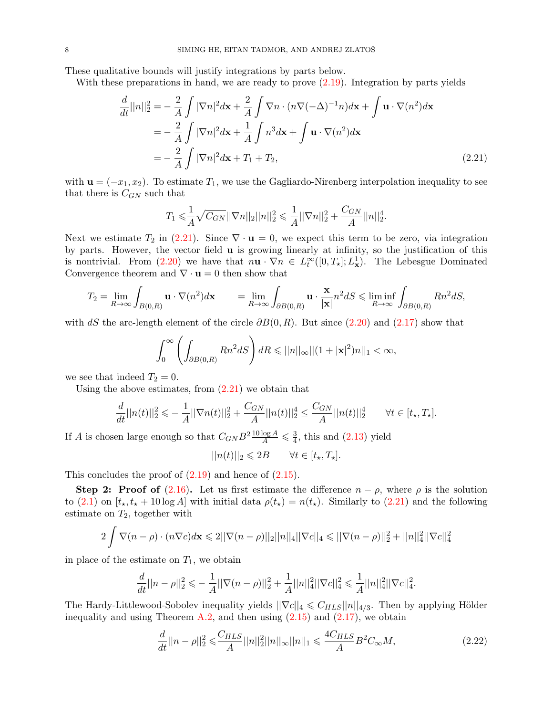These qualitative bounds will justify integrations by parts below.

With these preparations in hand, we are ready to prove  $(2.19)$ . Integration by parts yields

$$
\frac{d}{dt}||n||_2^2 = -\frac{2}{A} \int |\nabla n|^2 d\mathbf{x} + \frac{2}{A} \int \nabla n \cdot (n\nabla(-\Delta)^{-1}n) d\mathbf{x} + \int \mathbf{u} \cdot \nabla(n^2) d\mathbf{x}
$$

$$
= -\frac{2}{A} \int |\nabla n|^2 d\mathbf{x} + \frac{1}{A} \int n^3 d\mathbf{x} + \int \mathbf{u} \cdot \nabla(n^2) d\mathbf{x}
$$

$$
= -\frac{2}{A} \int |\nabla n|^2 d\mathbf{x} + T_1 + T_2,
$$
(2.21)

with  $\mathbf{u} = (-x_1, x_2)$ . To estimate  $T_1$ , we use the Gagliardo-Nirenberg interpolation inequality to see that there is  $C_{GN}$  such that

<span id="page-7-0"></span>
$$
T_1 \leq \frac{1}{A} \sqrt{C_{GN}} ||\nabla n||_2 ||n||_2^2 \leq \frac{1}{A} ||\nabla n||_2^2 + \frac{C_{GN}}{A} ||n||_2^4.
$$

Next we estimate  $T_2$  in [\(2.21\)](#page-7-0). Since  $\nabla \cdot \mathbf{u} = 0$ , we expect this term to be zero, via integration by parts. However, the vector field u is growing linearly at infinity, so the justification of this is nontrivial. From [\(2.20\)](#page-6-8) we have that  $n\mathbf{u} \cdot \nabla n \in L^{\infty}_t([0,T_{\star}];L^1_{\mathbf{x}})$ . The Lebesgue Dominated Convergence theorem and  $\nabla \cdot \mathbf{u} = 0$  then show that

$$
T_2 = \lim_{R \to \infty} \int_{B(0,R)} \mathbf{u} \cdot \nabla(n^2) d\mathbf{x} \qquad = \lim_{R \to \infty} \int_{\partial B(0,R)} \mathbf{u} \cdot \frac{\mathbf{x}}{|\mathbf{x}|} n^2 dS \leqslant \liminf_{R \to \infty} \int_{\partial B(0,R)} R n^2 dS,
$$

with dS the arc-length element of the circle  $\partial B(0, R)$ . But since [\(2.20\)](#page-6-8) and [\(2.17\)](#page-6-9) show that

$$
\int_0^\infty \left( \int_{\partial B(0,R)} R n^2 dS \right) dR \leqslant ||n||_\infty ||(1+|\mathbf{x}|^2) n||_1 < \infty,
$$

we see that indeed  $T_2 = 0$ .

Using the above estimates, from  $(2.21)$  we obtain that

$$
\frac{d}{dt}||n(t)||_2^2 \leqslant -\frac{1}{A}||\nabla n(t)||_2^2 + \frac{C_{GN}}{A}||n(t)||_2^4 \leq \frac{C_{GN}}{A}||n(t)||_2^4 \qquad \forall t \in [t_\star, T_\star].
$$

If A is chosen large enough so that  $C_{GN}B^2 \frac{10 \log A}{A} \leq \frac{3}{4}$  $\frac{3}{4}$ , this and  $(2.13)$  yield

$$
||n(t)||_2 \leqslant 2B \qquad \forall t \in [t_\star, T_\star].
$$

This concludes the proof of  $(2.19)$  and hence of  $(2.15)$ .

Step 2: Proof of [\(2.16\)](#page-6-3). Let us first estimate the difference  $n - \rho$ , where  $\rho$  is the solution to [\(2.1\)](#page-4-1) on  $[t_\star, t_\star + 10 \log A]$  with initial data  $\rho(t_\star) = n(t_\star)$ . Similarly to [\(2.21\)](#page-7-0) and the following estimate on  $T_2$ , together with

$$
2\int \nabla (n-\rho) \cdot (n\nabla c) d\mathbf{x} \leq 2||\nabla (n-\rho)||_2||n||_4||\nabla c||_4 \leq ||\nabla (n-\rho)||_2^2 + ||n||_4^2||\nabla c||_4^2
$$

in place of the estimate on  $T_1$ , we obtain

$$
\frac{d}{dt}||n-\rho||_2^2 \leqslant -\frac{1}{A}||\nabla(n-\rho)||_2^2 + \frac{1}{A}||n||_4^2||\nabla c||_4^2 \leqslant \frac{1}{A}||n||_4^2||\nabla c||_4^2.
$$

The Hardy-Littlewood-Sobolev inequality yields  $||\nabla c||_4 \leq C_{HLS} ||n||_{4/3}$ . Then by applying Hölder inequality and using Theorem [A.2,](#page-13-0) and then using  $(2.15)$  and  $(2.17)$ , we obtain

<span id="page-7-1"></span>
$$
\frac{d}{dt}||n - \rho||_2^2 \leqslant \frac{C_{HLS}}{A}||n||_2^2||n||_{\infty}||n||_1 \leqslant \frac{4C_{HLS}}{A}B^2C_{\infty}M,\tag{2.22}
$$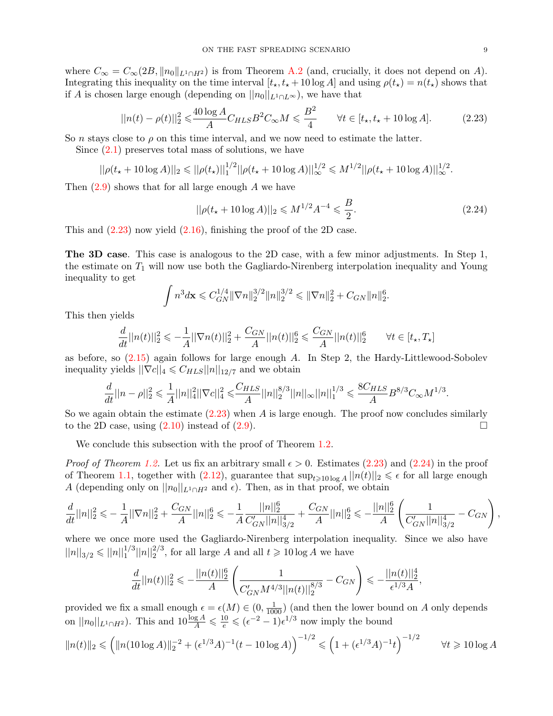where  $C_{\infty} = C_{\infty}(2B, ||n_0||_{L^1 \cap H^2})$  is from Theorem [A.2](#page-13-0) (and, crucially, it does not depend on A). Integrating this inequality on the time interval  $[t_{\star}, t_{\star} + 10 \log A]$  and using  $\rho(t_{\star}) = n(t_{\star})$  shows that if A is chosen large enough (depending on  $||n_0||_{L^1 \cap L^{\infty}}$ ), we have that

$$
||n(t) - \rho(t)||_2^2 \leq \frac{40 \log A}{A} C_{HLS} B^2 C_{\infty} M \leq \frac{B^2}{4} \qquad \forall t \in [t_\star, t_\star + 10 \log A]. \tag{2.23}
$$

So n stays close to  $\rho$  on this time interval, and we now need to estimate the latter.

Since [\(2.1\)](#page-4-1) preserves total mass of solutions, we have

$$
||\rho(t_{\star}+10\log A)||_2 \leq ||\rho(t_{\star})||_1^{1/2}||\rho(t_{\star}+10\log A)||_{\infty}^{1/2} \leq M^{1/2}||\rho(t_{\star}+10\log A)||_{\infty}^{1/2}.
$$

Then  $(2.9)$  shows that for all large enough A we have

<span id="page-8-1"></span><span id="page-8-0"></span>
$$
||\rho(t_{\star} + 10\log A)||_2 \leq M^{1/2} A^{-4} \leq \frac{B}{2}.
$$
\n(2.24)

This and  $(2.23)$  now yield  $(2.16)$ , finishing the proof of the 2D case.

The 3D case. This case is analogous to the 2D case, with a few minor adjustments. In Step 1, the estimate on  $T_1$  will now use both the Gagliardo-Nirenberg interpolation inequality and Young inequality to get

$$
\int n^3 d\mathbf{x} \leq C_{GN}^{1/4} \|\nabla n\|_2^{3/2} \|n\|_2^{3/2} \leq \|\nabla n\|_2^2 + C_{GN} \|n\|_2^6.
$$

This then yields

$$
\frac{d}{dt}||n(t)||_2^2 \leq -\frac{1}{A}||\nabla n(t)||_2^2 + \frac{C_{GN}}{A}||n(t)||_2^6 \leq \frac{C_{GN}}{A}||n(t)||_2^6 \qquad \forall t \in [t_\star, T_\star]
$$

as before, so  $(2.15)$  again follows for large enough A. In Step 2, the Hardy-Littlewood-Sobolev inequality yields  $||\nabla c||_4 \leq C_{HLS} ||n||_{12/7}$  and we obtain

$$
\frac{d}{dt}||n-\rho||_2^2 \leq \frac{1}{A}||n||_4^2||\nabla c||_4^2 \leq \frac{C_{HLS}}{A}||n||_2^{8/3}||n||_{\infty}||n||_1^{1/3} \leq \frac{8C_{HLS}}{A}B^{8/3}C_{\infty}M^{1/3}.
$$

So we again obtain the estimate  $(2.23)$  when A is large enough. The proof now concludes similarly to the 2D case, using  $(2.10)$  instead of  $(2.9)$ .

We conclude this subsection with the proof of Theorem [1.2.](#page-2-2)

*Proof of Theorem [1.2.](#page-2-2)* Let us fix an arbitrary small  $\epsilon > 0$ . Estimates [\(2.23\)](#page-8-1) and [\(2.24\)](#page-8-0) in the proof of Theorem [1.1,](#page-2-0) together with  $(2.12)$ , guarantee that  $\sup_{t\geq 10 \log A} ||n(t)||_2 \leq \epsilon$  for all large enough A (depending only on  $||n_0||_{L^1 \cap H^2}$  and  $\epsilon$ ). Then, as in that proof, we obtain

$$
\frac{d}{dt}||n||_2^2 \leqslant -\frac{1}{A}||\nabla n||_2^2 + \frac{C_{GN}}{A}||n||_2^6 \leqslant -\frac{1}{A} \frac{||n||_2^6}{C'_{GN}||n||_{3/2}^4} + \frac{C_{GN}}{A}||n||_2^6 \leqslant -\frac{||n||_2^6}{A} \left(\frac{1}{C'_{GN}||n||_{3/2}^4} - C_{GN}\right),
$$

where we once more used the Gagliardo-Nirenberg interpolation inequality. Since we also have  $||n||_{3/2} \le ||n||_1^{1/3} ||n||_2^{2/3}$ , for all large A and all  $t \ge 10 \log A$  we have

$$
\frac{d}{dt}||n(t)||_2^2 \leqslant -\frac{||n(t)||_2^6}{A} \left( \frac{1}{C'_{GN}M^{4/3}||n(t)||_2^{8/3}} - C_{GN} \right) \leqslant -\frac{||n(t)||_2^4}{\epsilon^{1/3}A},
$$

provided we fix a small enough  $\epsilon = \epsilon(M) \in (0, \frac{1}{1000})$  (and then the lower bound on A only depends on  $||n_0||_{L^1 \cap H^2}$ ). This and  $10 \frac{\log A}{A} \leq \frac{10}{e} \leqslant (e^{-2} - 1)e^{1/3}$  now imply the bound

$$
||n(t)||_2 \leq (||n(10\log A)||_2^{-2} + (\epsilon^{1/3}A)^{-1}(t-10\log A))^{-1/2} \leq (1+(\epsilon^{1/3}A)^{-1}t)^{-1/2} \qquad \forall t \geq 10 \log A
$$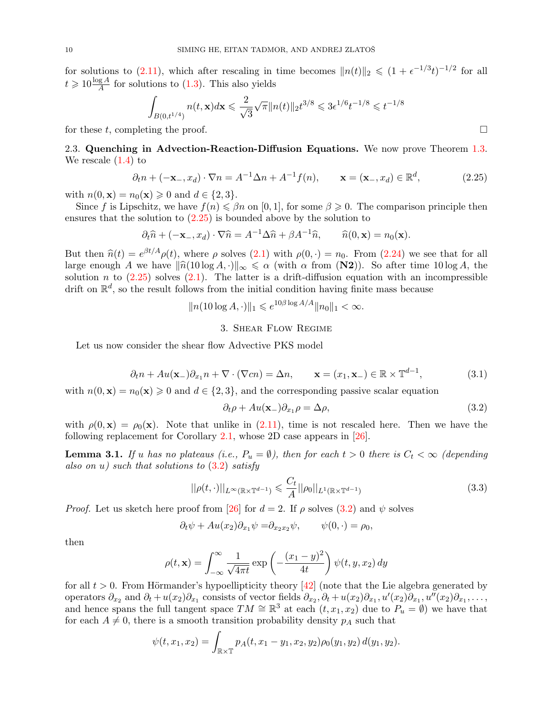for solutions to [\(2.11\)](#page-6-0), which after rescaling in time becomes  $||n(t)||_2 \leq (1 + \epsilon^{-1/3}t)^{-1/2}$  for all  $t \geqslant 10 \frac{\log A}{A}$  for solutions to [\(1.3\)](#page-1-0). This also yields

$$
\int_{B(0,t^{1/4})} n(t,{\bf x}) d{\bf x} \leqslant \frac{2}{\sqrt{3}} \sqrt{\pi} \|n(t)\|_2 t^{3/8} \leqslant 3 \epsilon^{1/6} t^{-1/8} \leqslant t^{-1/8}
$$

for these t, completing the proof.  $\square$ 

2.3. Quenching in Advection-Reaction-Diffusion Equations. We now prove Theorem [1.3.](#page-3-2) We rescale [\(1.4\)](#page-2-1) to

$$
\partial_t n + (-\mathbf{x}_-, x_d) \cdot \nabla n = A^{-1} \Delta n + A^{-1} f(n), \qquad \mathbf{x} = (\mathbf{x}_-, x_d) \in \mathbb{R}^d,
$$
\n(2.25)

with  $n(0, \mathbf{x}) = n_0(\mathbf{x}) \geq 0$  and  $d \in \{2, 3\}.$ 

Since f is Lipschitz, we have  $f(n) \leq \beta n$  on [0, 1], for some  $\beta \geq 0$ . The comparison principle then ensures that the solution to [\(2.25\)](#page-9-2) is bounded above by the solution to

$$
\partial_t \widehat{n} + (-\mathbf{x}_-, x_d) \cdot \nabla \widehat{n} = A^{-1} \Delta \widehat{n} + \beta A^{-1} \widehat{n}, \qquad \widehat{n}(0, \mathbf{x}) = n_0(\mathbf{x}).
$$

But then  $\hat{n}(t) = e^{\beta t/A} \rho(t)$ , where  $\rho$  solves [\(2.1\)](#page-4-1) with  $\rho(0, \cdot) = n_0$ . From [\(2.24\)](#page-8-0) we see that for all large appear of  $\Lambda$  we have  $\|\hat{n}(10\log A, \cdot)\|$ large enough A we have  $\|\hat{n}(10 \log A, \cdot)\|_{\infty} \le \alpha$  (with  $\alpha$  from (N2)). So after time 10 log A, the solution n to  $(2.25)$  solves  $(2.1)$ . The latter is a drift-diffusion equation with an incompressible drift on  $\mathbb{R}^d$ , so the result follows from the initial condition having finite mass because

$$
||n(10\log A, \cdot)||_1 \leq e^{10\beta \log A/A} ||n_0||_1 < \infty.
$$

## 3. Shear Flow Regime

<span id="page-9-1"></span>Let us now consider the shear flow Advective PKS model

$$
\partial_t n + Au(\mathbf{x}_-) \partial_{x_1} n + \nabla \cdot (\nabla c n) = \Delta n, \qquad \mathbf{x} = (x_1, \mathbf{x}_-) \in \mathbb{R} \times \mathbb{T}^{d-1}, \tag{3.1}
$$

with  $n(0, \mathbf{x}) = n_0(\mathbf{x}) \geq 0$  and  $d \in \{2, 3\}$ , and the corresponding passive scalar equation

<span id="page-9-4"></span><span id="page-9-3"></span>
$$
\partial_t \rho + Au(\mathbf{x}_-) \partial_{x_1} \rho = \Delta \rho, \tag{3.2}
$$

with  $\rho(0, x) = \rho_0(x)$ . Note that unlike in [\(2.11\)](#page-6-0), time is not rescaled here. Then we have the following replacement for Corollary [2.1,](#page-5-0) whose 2D case appears in [\[26\]](#page-15-16).

<span id="page-9-0"></span>**Lemma 3.1.** If u has no plateaus (i.e.,  $P_u = \emptyset$ ), then for each  $t > 0$  there is  $C_t < \infty$  (depending also on u) such that solutions to  $(3.2)$  satisfy

$$
||\rho(t,\cdot)||_{L^{\infty}(\mathbb{R}\times\mathbb{T}^{d-1})} \leqslant \frac{C_t}{A}||\rho_0||_{L^1(\mathbb{R}\times\mathbb{T}^{d-1})}
$$
\n(3.3)

*Proof.* Let us sketch here proof from [\[26\]](#page-15-16) for  $d = 2$ . If  $\rho$  solves [\(3.2\)](#page-9-3) and  $\psi$  solves

$$
\partial_t \psi + Au(x_2) \partial_{x_1} \psi = \partial_{x_2 x_2} \psi, \qquad \psi(0, \cdot) = \rho_0,
$$

then

$$
\rho(t, \mathbf{x}) = \int_{-\infty}^{\infty} \frac{1}{\sqrt{4\pi t}} \exp\left(-\frac{(x_1 - y)^2}{4t}\right) \psi(t, y, x_2) dy
$$

for all  $t > 0$ . From Hörmander's hypoellipticity theory [\[42\]](#page-16-29) (note that the Lie algebra generated by operators  $\partial_{x_2}$  and  $\partial_t + u(x_2)\partial_{x_1}$  consists of vector fields  $\partial_{x_2}, \partial_t + u(x_2)\partial_{x_1}, u'(x_2)\partial_{x_1}, u''(x_2)\partial_{x_1}, \ldots,$ and hence spans the full tangent space  $TM \cong \mathbb{R}^3$  at each  $(t, x_1, x_2)$  due to  $P_u = \emptyset$ ) we have that for each  $A \neq 0$ , there is a smooth transition probability density  $p_A$  such that

$$
\psi(t, x_1, x_2) = \int_{\mathbb{R} \times \mathbb{T}} p_A(t, x_1 - y_1, x_2, y_2) \rho_0(y_1, y_2) d(y_1, y_2).
$$

<span id="page-9-5"></span><span id="page-9-2"></span>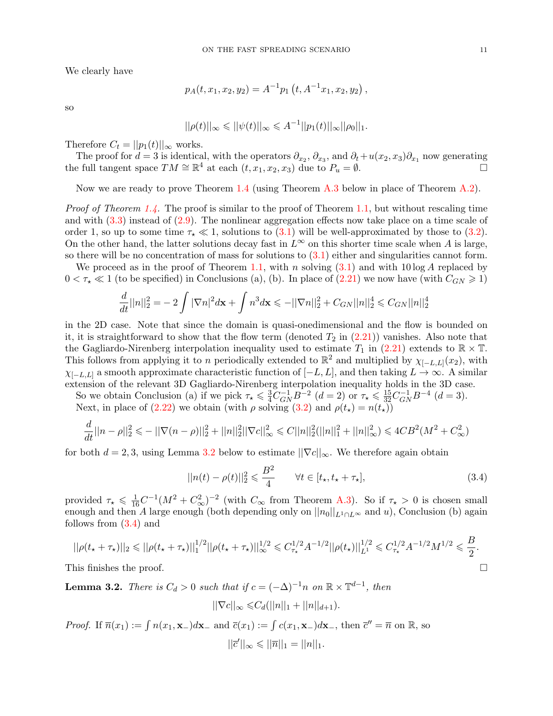We clearly have

$$
p_A(t, x_1, x_2, y_2) = A^{-1} p_1(t, A^{-1}x_1, x_2, y_2),
$$

so

$$
||\rho(t)||_{\infty} \leq ||\psi(t)||_{\infty} \leq A^{-1}||p_1(t)||_{\infty}||\rho_0||_1.
$$

Therefore  $C_t = ||p_1(t)||_{\infty}$  works.

The proof for  $d=3$  is identical, with the operators  $\partial_{x_2}, \partial_{x_3}$ , and  $\partial_t + u(x_2, x_3)\partial_{x_1}$  now generating the full tangent space  $TM \cong \mathbb{R}^4$  at each  $(t, x_1, x_2, x_3)$  due to  $P_u = \emptyset$ .

Now we are ready to prove Theorem [1.4](#page-3-1) (using Theorem [A.3](#page-14-0) below in place of Theorem [A.2\)](#page-13-0).

*Proof of Theorem [1.4.](#page-3-1)* The proof is similar to the proof of Theorem [1.1,](#page-2-0) but without rescaling time and with [\(3.3\)](#page-9-4) instead of [\(2.9\)](#page-5-4). The nonlinear aggregation effects now take place on a time scale of order 1, so up to some time  $\tau_{\star} \ll 1$ , solutions to [\(3.1\)](#page-9-5) will be well-approximated by those to [\(3.2\)](#page-9-3). On the other hand, the latter solutions decay fast in  $L^{\infty}$  on this shorter time scale when A is large, so there will be no concentration of mass for solutions to  $(3.1)$  either and singularities cannot form.

We proceed as in the proof of Theorem [1.1,](#page-2-0) with n solving  $(3.1)$  and with  $10 \log A$  replaced by  $0 < \tau_{\star} \ll 1$  (to be specified) in Conclusions (a), (b). In place of [\(2.21\)](#page-7-0) we now have (with  $C_{GN} \geq 1$ )

$$
\frac{d}{dt}||n||_2^2 = -2\int |\nabla n|^2 d\mathbf{x} + \int n^3 d\mathbf{x} \le -||\nabla n||_2^2 + C_{GN}||n||_2^4 \le C_{GN}||n||_2^4
$$

in the 2D case. Note that since the domain is quasi-onedimensional and the flow is bounded on it, it is straightforward to show that the flow term (denoted  $T_2$  in  $(2.21)$ ) vanishes. Also note that the Gagliardo-Nirenberg interpolation inequality used to estimate  $T_1$  in [\(2.21\)](#page-7-0) extends to  $\mathbb{R} \times \mathbb{T}$ . This follows from applying it to n periodically extended to  $\mathbb{R}^2$  and multiplied by  $\chi_{[-L,L]}(x_2)$ , with  $\chi_{[-L,L]}$  a smooth approximate characteristic function of  $[-L, L]$ , and then taking  $L \to \infty$ . A similar extension of the relevant 3D Gagliardo-Nirenberg interpolation inequality holds in the 3D case.

So we obtain Conclusion (a) if we pick  $\tau_{\star} \leq \frac{3}{4} C_{GN}^{-1} B^{-2}$   $(d=2)$  or  $\tau_{\star} \leq \frac{15}{32} C_{GN}^{-1} B^{-4}$   $(d=3)$ .

Next, in place of [\(2.22\)](#page-7-1) we obtain (with  $\rho$  solving [\(3.2\)](#page-9-3) and  $\rho(t_{\star}) = n(t_{\star}))$ 

$$
\frac{d}{dt}||n-\rho||_2^2 \leq -||\nabla(n-\rho)||_2^2 + ||n||_2^2 ||\nabla c||_\infty^2 \leq C||n||_2^2 (||n||_1^2 + ||n||_\infty^2) \leq 4CB^2(M^2 + C_\infty^2)
$$

for both  $d = 2, 3$ , using Lemma [3.2](#page-10-0) below to estimate  $||\nabla c||_{\infty}$ . We therefore again obtain

<span id="page-10-1"></span>
$$
||n(t) - \rho(t)||_2^2 \leq \frac{B^2}{4} \qquad \forall t \in [t_\star, t_\star + \tau_\star],
$$
\n(3.4)

provided  $\tau_{\star} \leq \frac{1}{16}C^{-1}(M^2 + C_{\infty}^2)^{-2}$  (with  $C_{\infty}$  from Theorem [A.3\)](#page-14-0). So if  $\tau_{\star} > 0$  is chosen small enough and then A large enough (both depending only on  $||n_0||_{L_1 \cap L_\infty}$  and u), Conclusion (b) again follows from [\(3.4\)](#page-10-1) and

$$
||\rho(t_{\star}+\tau_{\star})||_2 \leq ||\rho(t_{\star}+\tau_{\star})||_1^{1/2}||\rho(t_{\star}+\tau_{\star})||_{\infty}^{1/2} \leq C_{\tau_{\star}}^{1/2}A^{-1/2}||\rho(t_{\star})||_{L^1}^{1/2} \leq C_{\tau_{\star}}^{1/2}A^{-1/2}M^{1/2} \leq \frac{B}{2}.
$$

 $||\nabla c||_{\infty} \leq C_d(||n||_1 + ||n||_{d+1}).$ 

This finishes the proof.  $\Box$ 

<span id="page-10-0"></span>**Lemma 3.2.** There is  $C_d > 0$  such that if  $c = (-\Delta)^{-1}n$  on  $\mathbb{R} \times \mathbb{T}^{d-1}$ , then

*Proof.* If  $\overline{n}(x_1) := \int n(x_1, \mathbf{x}_-)d\mathbf{x}_-$  and  $\overline{c}(x_1) := \int c(x_1, \mathbf{x}_-)d\mathbf{x}_-$ , then  $\overline{c}'' = \overline{n}$  on  $\mathbb{R}$ , so  $||\bar{c}'||_{\infty} \leq ||\bar{n}||_1 = ||n||_1.$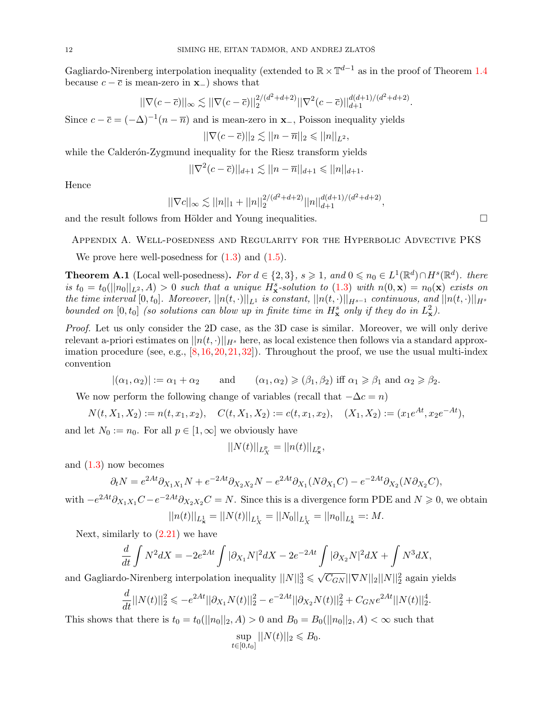Gagliardo-Nirenberg interpolation inequality (extended to  $\mathbb{R} \times \mathbb{T}^{d-1}$  as in the proof of Theorem [1.4](#page-3-1) because  $c - \overline{c}$  is mean-zero in  $\mathbf{x}_-$ ) shows that

$$
||\nabla(c-\overline{c})||_{\infty} \lesssim ||\nabla(c-\overline{c})||_2^{2/(d^2+d+2)} ||\nabla^2(c-\overline{c})||_{d+1}^{d(d+1)/(d^2+d+2)}.
$$

Since  $c - \overline{c} = (-\Delta)^{-1}(n - \overline{n})$  and is mean-zero in **x**<sub>-</sub>, Poisson inequality yields

$$
||\nabla(c-\overline{c})||_2 \lesssim ||n-\overline{n}||_2 \leq ||n||_{L^2},
$$

while the Calderón-Zygmund inequality for the Riesz transform yields

 $||\nabla^2(c-\overline{c})||_{d+1} \lesssim ||n-\overline{n}||_{d+1} \leq ||n||_{d+1}.$ 

Hence

$$
||\nabla c||_{\infty} \lesssim ||n||_1 + ||n||_2^{2/(d^2+d+2)} ||n||_{d+1}^{d(d+1)/(d^2+d+2)},
$$

and the result follows from Hölder and Young inequalities.  $\Box$ 

Appendix A. Well-posedness and Regularity for the Hyperbolic Advective PKS

We prove here well-posedness for  $(1.3)$  and  $(1.5)$ .

<span id="page-11-0"></span>**Theorem A.1** (Local well-posedness). For  $d \in \{2,3\}$ ,  $s \geq 1$ , and  $0 \leq n_0 \in L^1(\mathbb{R}^d) \cap H^s(\mathbb{R}^d)$ . there is  $t_0 = t_0(||n_0||_{L^2}, A) > 0$  such that a unique  $H^s_{\mathbf{x}}$ -solution to  $(1.3)$  with  $n(0, \mathbf{x}) = n_0(\mathbf{x})$  exists on the time interval  $[0, t_0]$ . Moreover,  $||n(t, \cdot)||_{L^1}$  is constant,  $||n(t, \cdot)||_{H^{s-1}}$  continuous, and  $||n(t, \cdot)||_{H^s}$ bounded on  $[0, t_0]$  (so solutions can blow up in finite time in  $H^s_x$  only if they do in  $L^2_x$ ).

Proof. Let us only consider the 2D case, as the 3D case is similar. Moreover, we will only derive relevant a-priori estimates on  $||n(t, \cdot)||_{H^s}$  here, as local existence then follows via a standard approximation procedure (see, e.g.,  $[8,16,20,21,32]$  $[8,16,20,21,32]$  $[8,16,20,21,32]$  $[8,16,20,21,32]$  $[8,16,20,21,32]$ ). Throughout the proof, we use the usual multi-index convention

$$
|( \alpha_1, \alpha_2) | := \alpha_1 + \alpha_2
$$
 and  $( \alpha_1, \alpha_2) \geq (\beta_1, \beta_2)$  iff  $\alpha_1 \geq \beta_1$  and  $\alpha_2 \geq \beta_2$ .

We now perform the following change of variables (recall that  $-\Delta c = n$ )

$$
N(t, X_1, X_2) := n(t, x_1, x_2), \quad C(t, X_1, X_2) := c(t, x_1, x_2), \quad (X_1, X_2) := (x_1 e^{At}, x_2 e^{-At}),
$$

and let  $N_0 := n_0$ . For all  $p \in [1, \infty]$  we obviously have

$$
||N(t)||_{L_X^p} = ||n(t)||_{L^p_{\mathbf{x}}},
$$

and [\(1.3\)](#page-1-0) now becomes

$$
\partial_t N = e^{2At} \partial_{X_1 X_1} N + e^{-2At} \partial_{X_2 X_2} N - e^{2At} \partial_{X_1} (N \partial_{X_1} C) - e^{-2At} \partial_{X_2} (N \partial_{X_2} C),
$$

with  $-e^{2At}\partial_{X_1X_1}C-e^{-2At}\partial_{X_2X_2}C=N$ . Since this is a divergence form PDE and  $N\geqslant 0$ , we obtain

$$
||n(t)||_{L^1_{\mathbf{x}}} = ||N(t)||_{L^1_X} = ||N_0||_{L^1_X} = ||n_0||_{L^1_{\mathbf{x}}} =: M.
$$

Next, similarly to  $(2.21)$  we have

$$
\frac{d}{dt}\int N^2dX = -2e^{2At}\int |\partial_{X_1}N|^2dX - 2e^{-2At}\int |\partial_{X_2}N|^2dX + \int N^3dX,
$$

and Gagliardo-Nirenberg interpolation inequality  $||N||_3^3 \leq \sqrt{C_{GN}} ||\nabla N||_2 ||N||_2^2$  again yields

$$
\frac{d}{dt}||N(t)||_2^2 \leqslant -e^{2At}||\partial_{X_1}N(t)||_2^2 - e^{-2At}||\partial_{X_2}N(t)||_2^2 + C_{GN}e^{2At}||N(t)||_2^4.
$$

This shows that there is  $t_0 = t_0(||n_0||_2, A) > 0$  and  $B_0 = B_0(||n_0||_2, A) < \infty$  such that

$$
\sup_{t \in [0, t_0]} ||N(t)||_2 \le B_0.
$$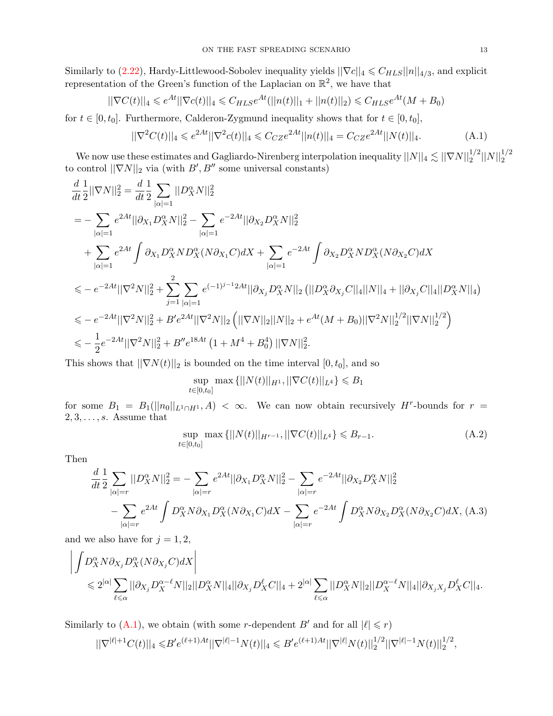Similarly to [\(2.22\)](#page-7-1), Hardy-Littlewood-Sobolev inequality yields  $||\nabla c||_4 \leq C_{HLS}||n||_{4/3}$ , and explicit representation of the Green's function of the Laplacian on  $\mathbb{R}^2$ , we have that

$$
||\nabla C(t)||_4 \leq e^{At} ||\nabla c(t)||_4 \leq C_{HLS} e^{At} (||n(t)||_1 + ||n(t)||_2) \leq C_{HLS} e^{At} (M + B_0)
$$

for  $t \in [0, t_0]$ . Furthermore, Calderon-Zygmund inequality shows that for  $t \in [0, t_0]$ ,

<span id="page-12-0"></span>
$$
||\nabla^2 C(t)||_4 \leqslant e^{2At} ||\nabla^2 c(t)||_4 \leqslant C_{CZ} e^{2At} ||n(t)||_4 = C_{CZ} e^{2At} ||N(t)||_4. \tag{A.1}
$$

We now use these estimates and Gagliardo-Nirenberg interpolation inequality  $||N||_4 \lesssim ||\nabla N||_2^{1/2}||N||_2^{1/2}$ to control  $||\nabla N||_2$  via (with  $B', B''$  some universal constants)

$$
\begin{split} &\frac{d}{dt}\frac{1}{2}||\nabla N||_{2}^{2}=\frac{d}{dt}\frac{1}{2}\sum_{|\alpha|=1}||D_{X}^{\alpha}N||_{2}^{2} \\ &=-\sum_{|\alpha|=1}e^{2At}||\partial_{X_{1}}D_{X}^{\alpha}N||_{2}^{2}-\sum_{|\alpha|=1}e^{-2At}||\partial_{X_{2}}D_{X}^{\alpha}N||_{2}^{2} \\ &+\sum_{|\alpha|=1}e^{2At}\int\partial_{X_{1}}D_{X}^{\alpha}ND_{X}^{\alpha}(N\partial_{X_{1}}C)dX+\sum_{|\alpha|=1}e^{-2At}\int\partial_{X_{2}}D_{X}^{\alpha}ND_{X}^{\alpha}(N\partial_{X_{2}}C)dX \\ &\leqslant-e^{-2At}||\nabla^{2}N||_{2}^{2}+\sum_{j=1}^{2}\sum_{|\alpha|=1}e^{(-1)^{j-1}2At}||\partial_{X_{j}}D_{X}^{\alpha}N||_{2}\left(||D_{X}^{\alpha}\partial_{X_{j}}C||_{4}||N||_{4}+||\partial_{X_{j}}C||_{4}||D_{X}^{\alpha}N||_{4}\right) \\ &\leqslant-e^{-2At}||\nabla^{2}N||_{2}^{2}+B^{\prime}e^{2At}||\nabla^{2}N||_{2}\left(||\nabla N||_{2}||N||_{2}+e^{At}(M+B_{0})||\nabla^{2}N||_{2}^{1/2}||\nabla N||_{2}^{1/2}\right) \\ &\leqslant-\frac{1}{2}e^{-2At}||\nabla^{2}N||_{2}^{2}+B^{\prime\prime}e^{18At}\left(1+M^{4}+B_{0}^{4}\right)||\nabla N||_{2}^{2}.\end{split}
$$

This shows that  $||\nabla N(t)||_2$  is bounded on the time interval  $[0, t_0]$ , and so

<span id="page-12-2"></span>
$$
\sup_{t \in [0,t_0]} \max \{ ||N(t)||_{H^1}, ||\nabla C(t)||_{L^4} \} \leqslant B_1
$$

for some  $B_1 = B_1(||n_0||_{L^1 \cap H^1}, A) < \infty$ . We can now obtain recursively  $H^r$ -bounds for  $r =$  $2, 3, \ldots, s$ . Assume that

<span id="page-12-1"></span>
$$
\sup_{t \in [0,t_0]} \max \{ ||N(t)||_{H^{r-1}}, ||\nabla C(t)||_{L^4} \} \leq B_{r-1}.
$$
\n(A.2)

Then

$$
\frac{d}{dt} \frac{1}{2} \sum_{|\alpha|=r} ||D^{\alpha}_{X}N||_{2}^{2} = -\sum_{|\alpha|=r} e^{2At} ||\partial_{X_{1}} D^{\alpha}_{X} N||_{2}^{2} - \sum_{|\alpha|=r} e^{-2At} ||\partial_{X_{2}} D^{\alpha}_{X} N||_{2}^{2} \n- \sum_{|\alpha|=r} e^{2At} \int D^{\alpha}_{X} N \partial_{X_{1}} D^{\alpha}_{X} (N \partial_{X_{1}} C) dX - \sum_{|\alpha|=r} e^{-2At} \int D^{\alpha}_{X} N \partial_{X_{2}} D^{\alpha}_{X} (N \partial_{X_{2}} C) dX, (A.3)
$$

and we also have for  $j = 1, 2$ ,

$$
\begin{aligned}&\bigg|\int D^{\alpha}_X N \partial_{X_j} D^{\alpha}_X (N \partial_{X_j}C) dX\bigg|\\&\leqslant 2^{|\alpha|} \sum_{\ell \leqslant \alpha}||\partial_{X_j} D^{\alpha-\ell}_X N||_2||D^{\alpha}_X N||_4||\partial_{X_j} D^{\ell}_X C||_4+2^{|\alpha|} \sum_{\ell \leqslant \alpha}||D^{\alpha}_X N||_2||D^{\alpha-\ell}_X N||_4||\partial_{X_j X_j} D^{\ell}_X C||_4. \end{aligned}
$$

Similarly to [\(A.1\)](#page-12-0), we obtain (with some *r*-dependent B' and for all  $|\ell| \le r$ )

$$
||\nabla^{|\ell|+1} C(t)||_4\leqslant B'e^{(\ell+1)A t}||\nabla^{|\ell|-1} N(t)||_4\leqslant B'e^{(\ell+1)A t}||\nabla^{|\ell|} N(t)||_2^{1/2}||\nabla^{|\ell|-1} N(t)||_2^{1/2},
$$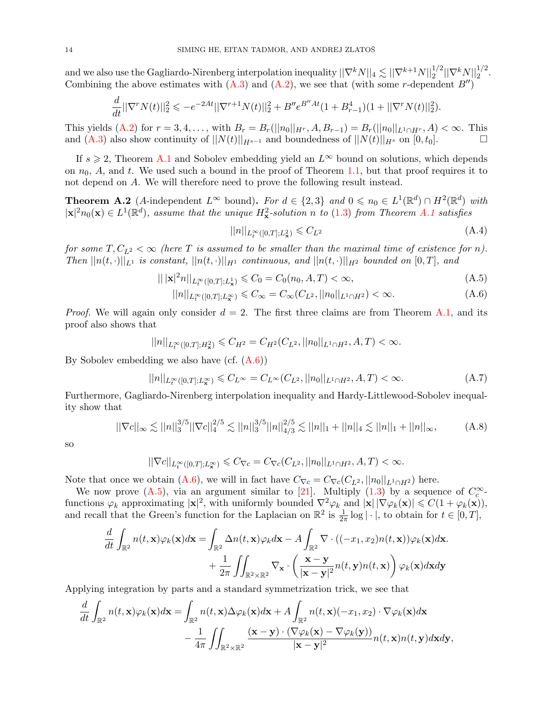and we also use the Gagliardo-Nirenberg interpolation inequality  $||\nabla^k N||_4 \lesssim ||\nabla^{k+1} N||_2^{1/2} ||\nabla^k N||_2^{1/2}$ . Combining the above estimates with  $(A.3)$  and  $(A.2)$ , we see that (with some r-dependent  $B''$ )

$$
\frac{d}{dt}||\nabla^r N(t)||_2^2 \leqslant -e^{-2At}||\nabla^{r+1} N(t)||_2^2 + B''e^{B''At}(1 + B_{r-1}^4)(1 + ||\nabla^r N(t)||_2^2).
$$

This yields [\(A.2\)](#page-12-2) for  $r = 3, 4, \ldots$ , with  $B_r = B_r(||n_0||_{H^r}, A, B_{r-1}) = B_r(||n_0||_{L^1 \cap H^r}, A) < \infty$ . This and [\(A.3\)](#page-12-1) also show continuity of  $||N(t)||_{H^{s-1}}$  and boundedness of  $||N(t)||_{H^s}$  on  $[0, t_0]$ .

If  $s \geq 2$ , Theorem [A.1](#page-11-0) and Sobolev embedding yield an  $L^{\infty}$  bound on solutions, which depends on  $n_0$ , A, and t. We used such a bound in the proof of Theorem [1.1,](#page-2-0) but that proof requires it to not depend on A. We will therefore need to prove the following result instead.

<span id="page-13-0"></span>**Theorem A.2** (A-independent  $L^{\infty}$  bound). For  $d \in \{2,3\}$  and  $0 \leq n_0 \in L^1(\mathbb{R}^d) \cap H^2(\mathbb{R}^d)$  with  $|\mathbf{x}|^2 n_0(\mathbf{x}) \in L^1(\mathbb{R}^d)$ , assume that the unique  $H^2_{\mathbf{x}}$ -solution n to [\(1.3\)](#page-1-0) from Theorem [A.1](#page-11-0) satisfies

<span id="page-13-5"></span><span id="page-13-4"></span><span id="page-13-3"></span><span id="page-13-2"></span><span id="page-13-1"></span>
$$
||n||_{L_t^{\infty}([0,T];L^2_x)} \leqslant C_{L^2}
$$
\n(A.4)

for some  $T, C_{L^2} < \infty$  (here T is assumed to be smaller than the maximal time of existence for n). Then  $||n(t, \cdot)||_{L^1}$  is constant,  $||n(t, \cdot)||_{H^1}$  continuous, and  $||n(t, \cdot)||_{H^2}$  bounded on  $[0, T]$ , and

$$
|||\mathbf{x}|^{2}n||_{L_{t}^{\infty}([0,T];L_{x}^{1})} \leqslant C_{0} = C_{0}(n_{0}, A, T) < \infty,
$$
\n(A.5)

$$
||n||_{L_t^{\infty}([0,T];L_x^{\infty})} \leq C_{\infty} = C_{\infty}(C_{L^2}, ||n_0||_{L^1 \cap H^2}) < \infty.
$$
 (A.6)

*Proof.* We will again only consider  $d = 2$ . The first three claims are from Theorem [A.1,](#page-11-0) and its proof also shows that

$$
||n||_{L^{\infty}_{t}([0,T];H^{2}_{\mathbf{x}})} \leqslant C_{H^{2}} = C_{H^{2}}(C_{L^{2}}, ||n_{0}||_{L^{1}\cap H^{2}}, A, T) < \infty.
$$

By Sobolev embedding we also have  $(cf. (A.6))$  $(cf. (A.6))$  $(cf. (A.6))$ 

$$
||n||_{L_t^{\infty}([0,T];L_x^{\infty})} \leq C_{L^{\infty}} = C_{L^{\infty}}(C_{L^2}, ||n_0||_{L^1 \cap H^2}, A, T) < \infty.
$$
 (A.7)

Furthermore, Gagliardo-Nirenberg interpolation inequality and Hardy-Littlewood-Sobolev inequality show that

$$
||\nabla c||_{\infty} \lesssim ||n||_3^{3/5} ||\nabla c||_4^{2/5} \lesssim ||n||_3^{3/5} ||n||_{4/3}^{2/5} \lesssim ||n||_1 + ||n||_4 \lesssim ||n||_1 + ||n||_{\infty}, \tag{A.8}
$$

so

$$
||\nabla c||_{L_t^\infty([0,T];L^\infty_x)} \leqslant C_{\nabla c} = C_{\nabla c}(C_{L^2},||n_0||_{L^1 \cap H^2}, A, T) < \infty.
$$

Note that once we obtain [\(A.6\)](#page-13-1), we will in fact have  $C_{\nabla c} = C_{\nabla c}(C_{L^2}, ||n_0||_{L^1 \cap H^2})$  here.

We now prove  $(A.5)$ , via an argument similar to [\[21\]](#page-15-4). Multiply  $(1.3)$  by a sequence of  $C_c^{\infty}$ . we now prove (A.5), via an argument similar to [21]. Multiply (1.5) by a sequence of  $C_c$  -<br>functions  $\varphi_k$  approximating  $|x|^2$ , with uniformly bounded  $\nabla^2 \varphi_k$  and  $|x| |\nabla \varphi_k(x)| \leq C(1 + \varphi_k(x))$ , and recall that the Green's function for the Laplacian on  $\mathbb{R}^2$  is  $\frac{1}{2\pi} \log |\cdot|$ , to obtain for  $t \in [0, T]$ ,

$$
\frac{d}{dt} \int_{\mathbb{R}^2} n(t, \mathbf{x}) \varphi_k(\mathbf{x}) d\mathbf{x} = \int_{\mathbb{R}^2} \Delta n(t, \mathbf{x}) \varphi_k d\mathbf{x} - A \int_{\mathbb{R}^2} \nabla \cdot ((-x_1, x_2) n(t, \mathbf{x})) \varphi_k(\mathbf{x}) d\mathbf{x} \n+ \frac{1}{2\pi} \iint_{\mathbb{R}^2 \times \mathbb{R}^2} \nabla_{\mathbf{x}} \cdot \left( \frac{\mathbf{x} - \mathbf{y}}{|\mathbf{x} - \mathbf{y}|^2} n(t, \mathbf{y}) n(t, \mathbf{x}) \right) \varphi_k(\mathbf{x}) d\mathbf{x} d\mathbf{y}
$$

Applying integration by parts and a standard symmetrization trick, we see that

$$
\frac{d}{dt} \int_{\mathbb{R}^2} n(t, \mathbf{x}) \varphi_k(\mathbf{x}) d\mathbf{x} = \int_{\mathbb{R}^2} n(t, \mathbf{x}) \Delta \varphi_k(\mathbf{x}) d\mathbf{x} + A \int_{\mathbb{R}^2} n(t, \mathbf{x}) (-x_1, x_2) \cdot \nabla \varphi_k(\mathbf{x}) d\mathbf{x} \n- \frac{1}{4\pi} \iint_{\mathbb{R}^2 \times \mathbb{R}^2} \frac{(\mathbf{x} - \mathbf{y}) \cdot (\nabla \varphi_k(\mathbf{x}) - \nabla \varphi_k(\mathbf{y}))}{|\mathbf{x} - \mathbf{y}|^2} n(t, \mathbf{x}) n(t, \mathbf{y}) d\mathbf{x} d\mathbf{y},
$$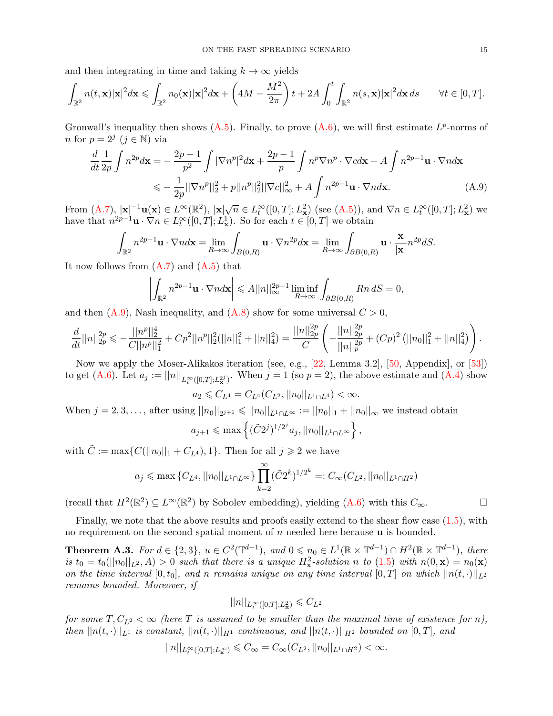and then integrating in time and taking  $k \to \infty$  yields

$$
\int_{\mathbb{R}^2} n(t,\mathbf{x}) |\mathbf{x}|^2 d\mathbf{x} \leq \int_{\mathbb{R}^2} n_0(\mathbf{x}) |\mathbf{x}|^2 d\mathbf{x} + \left(4M - \frac{M^2}{2\pi}\right) t + 2A \int_0^t \int_{\mathbb{R}^2} n(s,\mathbf{x}) |\mathbf{x}|^2 d\mathbf{x} ds \qquad \forall t \in [0,T].
$$

Gronwall's inequality then shows  $(A.5)$ . Finally, to prove  $(A.6)$ , we will first estimate  $L^p$ -norms of *n* for  $p = 2^j$   $(j \in \mathbb{N})$  via

$$
\frac{d}{dt}\frac{1}{2p}\int n^{2p}d\mathbf{x} = -\frac{2p-1}{p^2}\int |\nabla n^p|^2 d\mathbf{x} + \frac{2p-1}{p}\int n^p \nabla n^p \cdot \nabla c d\mathbf{x} + A\int n^{2p-1}\mathbf{u} \cdot \nabla n d\mathbf{x}
$$
  
\n
$$
\leq -\frac{1}{2p}||\nabla n^p||_2^2 + p||n^p||_2^2||\nabla c||_{\infty}^2 + A\int n^{2p-1}\mathbf{u} \cdot \nabla n d\mathbf{x}.
$$
 (A.9)

From  $(A.7)$ ,  $|\mathbf{x}|^{-1}\mathbf{u}(\mathbf{x}) \in L^{\infty}(\mathbb{R}^2)$ ,  $|\mathbf{x}|\sqrt{n} \in L^{\infty}_t([0,T]; L^2_{\mathbf{x}})$  (see  $(A.5)$ ), and  $\nabla n \in L^{\infty}_t([0,T]; L^2_{\mathbf{x}})$  we have that  $n^{2p-1} \mathbf{u} \cdot \nabla n \in L^{\infty}_t([0,T]; L^1_{\mathbf{x}})$ . So for each  $t \in [0,T]$  we obtain

$$
\int_{\mathbb{R}^2} n^{2p-1} \mathbf{u} \cdot \nabla n d\mathbf{x} = \lim_{R \to \infty} \int_{B(0,R)} \mathbf{u} \cdot \nabla n^{2p} d\mathbf{x} = \lim_{R \to \infty} \int_{\partial B(0,R)} \mathbf{u} \cdot \frac{\mathbf{x}}{|\mathbf{x}|} n^{2p} dS.
$$

It now follows from  $(A.7)$  and  $(A.5)$  that

$$
\left| \int_{\mathbb{R}^2} n^{2p-1} \mathbf{u} \cdot \nabla n d\mathbf{x} \right| \leqslant A ||n||_{\infty}^{2p-1} \liminf_{R \to \infty} \int_{\partial B(0,R)} R n \, dS = 0,
$$

and then  $(A.9)$ , Nash inequality, and  $(A.8)$  show for some universal  $C > 0$ ,

$$
\frac{d}{dt}||n||_{2p}^{2p} \leq -\frac{||n^p||_2^4}{C||n^p||_1^2} + Cp^2||n^p||_2^2(||n||_1^2 + ||n||_4^2) = \frac{||n||_{2p}^{2p}}{C} \left( -\frac{||n||_{2p}^{2p}}{||n||_p^{2p}} + (Cp)^2 (||n_0||_1^2 + ||n||_4^2) \right).
$$

Now we apply the Moser-Alikakos iteration (see, e.g., [\[22,](#page-15-23) Lemma 3.2], [\[50,](#page-16-11) Appendix], or [\[53\]](#page-16-31)) to get [\(A.6\)](#page-13-1). Let  $a_j := ||n||_{L_t^{\infty}([0,T];L_x^{2j})}$ . When  $j = 1$  (so  $p = 2$ ), the above estimate and [\(A.4\)](#page-13-5) show

$$
a_2 \leqslant C_{L^4}=C_{L^4}(C_{L^2}, ||n_0||_{L^1\cap L^4})<\infty.
$$

When  $j = 2, 3, ...,$  after using  $||n_0||_{2^{j+1}} \le ||n_0||_{L^1 \cap L^\infty} := ||n_0||_1 + ||n_0||_{\infty}$  we instead obtain

$$
a_{j+1} \le \max \left\{ (\tilde{C}2^j)^{1/2^j} a_j, ||n_0||_{L^1 \cap L^\infty} \right\},\,
$$

with  $\tilde{C} := \max\{C(||n_0||_1 + C_{L^4}), 1\}$ . Then for all  $j \geq 2$  we have

$$
a_j \le \max\left\{C_{L^4}, ||n_0||_{L^1 \cap L^\infty}\right\} \prod_{k=2}^{\infty} (\tilde{C}2^k)^{1/2^k} =: C_\infty(C_{L^2}, ||n_0||_{L^1 \cap H^2})
$$

(recall that  $H^2(\mathbb{R}^2) \subseteq L^\infty(\mathbb{R}^2)$  by Sobolev embedding), yielding  $(A.6)$  with this  $C_\infty$ .

<span id="page-14-1"></span>

Finally, we note that the above results and proofs easily extend to the shear flow case  $(1.5)$ , with no requirement on the second spatial moment of  $n$  needed here because  $\bf{u}$  is bounded.

<span id="page-14-0"></span>**Theorem A.3.** For  $d \in \{2,3\}$ ,  $u \in C^2(\mathbb{T}^{d-1})$ , and  $0 \leq n_0 \in L^1(\mathbb{R} \times \mathbb{T}^{d-1}) \cap H^2(\mathbb{R} \times \mathbb{T}^{d-1})$ , there is  $t_0 = t_0(||n_0||_{L^2}, A) > 0$  such that there is a unique  $H^2_{\mathbf{x}}$ -solution n to [\(1.5\)](#page-3-0) with  $n(0, \mathbf{x}) = n_0(\mathbf{x})$ on the time interval  $[0, t_0]$ , and n remains unique on any time interval  $[0, T]$  on which  $||n(t, \cdot)||_{L^2}$ remains bounded. Moreover, if

$$
||n||_{L_t^\infty([0,T];L^2_{\mathbf{x}})}\leqslant C_{L^2}
$$

for some  $T, C_{L^2} < \infty$  (here T is assumed to be smaller than the maximal time of existence for n), then  $||n(t, \cdot)||_{L^1}$  is constant,  $||n(t, \cdot)||_{H^1}$  continuous, and  $||n(t, \cdot)||_{H^2}$  bounded on  $[0, T]$ , and

$$
||n||_{L_t^\infty([0,T];L^\infty_{\mathbf{x}})} \leqslant C_\infty = C_\infty(C_{L^2},||n_0||_{L^1\cap H^2}) < \infty.
$$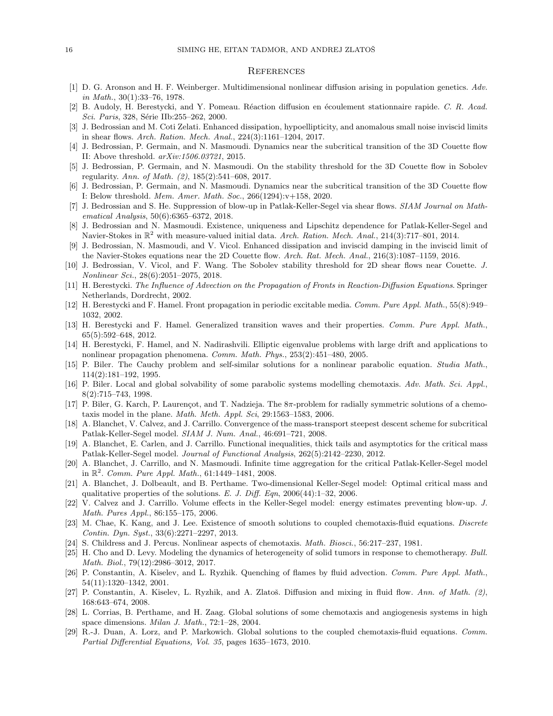#### **REFERENCES**

- <span id="page-15-10"></span>[1] D. G. Aronson and H. F. Weinberger. Multidimensional nonlinear diffusion arising in population genetics. Adv. in Math.,  $30(1):33-76$ , 1978.
- <span id="page-15-14"></span>[2] B. Audoly, H. Berestycki, and Y. Pomeau. Réaction diffusion en écoulement stationnaire rapide. C. R. Acad. Sci. Paris, 328, Série IIb:255–262, 2000.
- <span id="page-15-17"></span>[3] J. Bedrossian and M. Coti Zelati. Enhanced dissipation, hypoellipticity, and anomalous small noise inviscid limits in shear flows. Arch. Ration. Mech. Anal., 224(3):1161–1204, 2017.
- [4] J. Bedrossian, P. Germain, and N. Masmoudi. Dynamics near the subcritical transition of the 3D Couette flow II: Above threshold. arXiv:1506.03721, 2015.
- [5] J. Bedrossian, P. Germain, and N. Masmoudi. On the stability threshold for the 3D Couette flow in Sobolev regularity. Ann. of Math. (2), 185(2):541–608, 2017.
- <span id="page-15-18"></span>[6] J. Bedrossian, P. Germain, and N. Masmoudi. Dynamics near the subcritical transition of the 3D Couette flow I: Below threshold. Mem. Amer. Math. Soc., 266(1294):v+158, 2020.
- <span id="page-15-9"></span>[7] J. Bedrossian and S. He. Suppression of blow-up in Patlak-Keller-Segel via shear flows. SIAM Journal on Mathematical Analysis, 50(6):6365–6372, 2018.
- <span id="page-15-21"></span>[8] J. Bedrossian and N. Masmoudi. Existence, uniqueness and Lipschitz dependence for Patlak-Keller-Segel and Navier-Stokes in  $\mathbb{R}^2$  with measure-valued initial data. Arch. Ration. Mech. Anal., 214(3):717-801, 2014.
- <span id="page-15-19"></span>[9] J. Bedrossian, N. Masmoudi, and V. Vicol. Enhanced dissipation and inviscid damping in the inviscid limit of the Navier-Stokes equations near the 2D Couette flow. Arch. Rat. Mech. Anal., 216(3):1087–1159, 2016.
- <span id="page-15-20"></span>[10] J. Bedrossian, V. Vicol, and F. Wang. The Sobolev stability threshold for 2D shear flows near Couette. J. Nonlinear Sci., 28(6):2051–2075, 2018.
- <span id="page-15-11"></span>[11] H. Berestycki. The Influence of Advection on the Propagation of Fronts in Reaction-Diffusion Equations. Springer Netherlands, Dordrecht, 2002.
- [12] H. Berestycki and F. Hamel. Front propagation in periodic excitable media. Comm. Pure Appl. Math., 55(8):949– 1032, 2002.
- <span id="page-15-12"></span>[13] H. Berestycki and F. Hamel. Generalized transition waves and their properties. Comm. Pure Appl. Math., 65(5):592–648, 2012.
- <span id="page-15-15"></span>[14] H. Berestycki, F. Hamel, and N. Nadirashvili. Elliptic eigenvalue problems with large drift and applications to nonlinear propagation phenomena. Comm. Math. Phys., 253(2):451–480, 2005.
- <span id="page-15-2"></span>[15] P. Biler. The Cauchy problem and self-similar solutions for a nonlinear parabolic equation. Studia Math., 114(2):181–192, 1995.
- <span id="page-15-22"></span>[16] P. Biler. Local and global solvability of some parabolic systems modelling chemotaxis. Adv. Math. Sci. Appl., 8(2):715–743, 1998.
- <span id="page-15-3"></span>[17] P. Biler, G. Karch, P. Laurençot, and T. Nadzieja. The  $8\pi$ -problem for radially symmetric solutions of a chemotaxis model in the plane. Math. Meth. Appl. Sci, 29:1563–1583, 2006.
- [18] A. Blanchet, V. Calvez, and J. Carrillo. Convergence of the mass-transport steepest descent scheme for subcritical Patlak-Keller-Segel model. SIAM J. Num. Anal., 46:691–721, 2008.
- [19] A. Blanchet, E. Carlen, and J. Carrillo. Functional inequalities, thick tails and asymptotics for the critical mass Patlak-Keller-Segel model. Journal of Functional Analysis, 262(5):2142–2230, 2012.
- <span id="page-15-6"></span>[20] A. Blanchet, J. Carrillo, and N. Masmoudi. Infinite time aggregation for the critical Patlak-Keller-Segel model in  $\mathbb{R}^2$ . Comm. Pure Appl. Math., 61:1449-1481, 2008.
- <span id="page-15-4"></span>[21] A. Blanchet, J. Dolbeault, and B. Perthame. Two-dimensional Keller-Segel model: Optimal critical mass and qualitative properties of the solutions. E. J. Diff. Eqn,  $2006(44):1-32$ ,  $2006$ .
- <span id="page-15-23"></span>[22] V. Calvez and J. Carrillo. Volume effects in the Keller-Segel model: energy estimates preventing blow-up. J. Math. Pures Appl., 86:155–175, 2006.
- <span id="page-15-0"></span>[23] M. Chae, K. Kang, and J. Lee. Existence of smooth solutions to coupled chemotaxis-fluid equations. Discrete Contin. Dyn. Syst., 33(6):2271–2297, 2013.
- <span id="page-15-5"></span>[24] S. Childress and J. Percus. Nonlinear aspects of chemotaxis. Math. Biosci., 56:217–237, 1981.
- <span id="page-15-13"></span>[25] H. Cho and D. Levy. Modeling the dynamics of heterogeneity of solid tumors in response to chemotherapy. Bull. Math. Biol., 79(12):2986–3012, 2017.
- <span id="page-15-16"></span>[26] P. Constantin, A. Kiselev, and L. Ryzhik. Quenching of flames by fluid advection. Comm. Pure Appl. Math., 54(11):1320–1342, 2001.
- <span id="page-15-8"></span>[27] P. Constantin, A. Kiselev, L. Ryzhik, and A. Zlatoš. Diffusion and mixing in fluid flow. Ann. of Math.  $(2)$ , 168:643–674, 2008.
- <span id="page-15-7"></span>[28] L. Corrias, B. Perthame, and H. Zaag. Global solutions of some chemotaxis and angiogenesis systems in high space dimensions. Milan J. Math., 72:1–28, 2004.
- <span id="page-15-1"></span>[29] R.-J. Duan, A. Lorz, and P. Markowich. Global solutions to the coupled chemotaxis-fluid equations. Comm. Partial Differential Equations, Vol. 35, pages 1635–1673, 2010.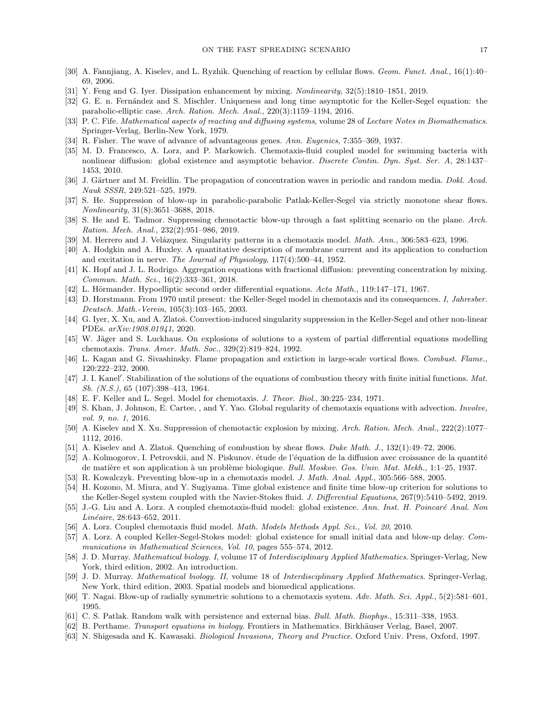- <span id="page-16-24"></span>[30] A. Fannjiang, A. Kiselev, and L. Ryzhik. Quenching of reaction by cellular flows. Geom. Funct. Anal., 16(1):40– 69, 2006.
- <span id="page-16-28"></span>[31] Y. Feng and G. Iyer. Dissipation enhancement by mixing. Nonlinearity, 32(5):1810–1851, 2019.
- <span id="page-16-30"></span>[32] G. E. n. Fernández and S. Mischler. Uniqueness and long time asymptotic for the Keller-Segel equation: the parabolic-elliptic case. Arch. Ration. Mech. Anal., 220(3):1159–1194, 2016.
- <span id="page-16-18"></span>[33] P. C. Fife. Mathematical aspects of reacting and diffusing systems, volume 28 of Lecture Notes in Biomathematics. Springer-Verlag, Berlin-New York, 1979.
- <span id="page-16-17"></span>[34] R. Fisher. The wave of advance of advantageous genes. Ann. Eugenics, 7:355–369, 1937.
- <span id="page-16-1"></span>[35] M. D. Francesco, A. Lorz, and P. Markowich. Chemotaxis-fluid coupled model for swimming bacteria with nonlinear diffusion: global existence and asymptotic behavior. Discrete Contin. Dyn. Syst. Ser. A, 28:1437– 1453, 2010.
- <span id="page-16-19"></span>[36] J. Gärtner and M. Freidlin. The propagation of concentration waves in periodic and random media. Dokl. Acad. Nauk SSSR, 249:521–525, 1979.
- <span id="page-16-13"></span>[37] S. He. Suppression of blow-up in parabolic-parabolic Patlak-Keller-Segel via strictly monotone shear flows. Nonlinearity, 31(8):3651–3688, 2018.
- <span id="page-16-15"></span>[38] S. He and E. Tadmor. Suppressing chemotactic blow-up through a fast splitting scenario on the plane. Arch. Ration. Mech. Anal., 232(2):951–986, 2019.
- <span id="page-16-7"></span>[39] M. Herrero and J. Velázquez. Singularity patterns in a chemotaxis model. *Math. Ann.*, 306:583–623, 1996.
- <span id="page-16-20"></span>[40] A. Hodgkin and A. Huxley. A quantitative description of membrane current and its application to conduction and excitation in nerve. The Journal of Physiology, 117(4):500–44, 1952.
- <span id="page-16-12"></span>[41] K. Hopf and J. L. Rodrigo. Aggregation equations with fractional diffusion: preventing concentration by mixing. Commun. Math. Sci., 16(2):333–361, 2018.
- <span id="page-16-29"></span>[42] L. Hörmander. Hypoelliptic second order differential equations. Acta Math., 119:147–171, 1967.
- <span id="page-16-6"></span>[43] D. Horstmann. From 1970 until present: the Keller-Segel model in chemotaxis and its consequences. I, Jahresber. Deutsch. Math.-Verein, 105(3):103–165, 2003.
- <span id="page-16-14"></span>[44] G. Iyer, X. Xu, and A. Zlatoš. Convection-induced singularity suppression in the Keller-Segel and other non-linear PDEs. arXiv:1908.01941, 2020.
- <span id="page-16-8"></span>[45] W. Jäger and S. Luckhaus. On explosions of solutions to a system of partial differential equations modelling chemotaxis. Trans. Amer. Math. Soc., 329(2):819–824, 1992.
- <span id="page-16-25"></span>[46] L. Kagan and G. Sivashinsky. Flame propagation and extiction in large-scale vortical flows. Combust. Flame., 120:222–232, 2000.
- <span id="page-16-27"></span>[47] J. I. Kanel'. Stabilization of the solutions of the equations of combustion theory with finite initial functions. Mat. Sb. (N.S.), 65 (107):398–413, 1964.
- <span id="page-16-4"></span>[48] E. F. Keller and L. Segel. Model for chemotaxis. J. Theor. Biol., 30:225–234, 1971.
- <span id="page-16-0"></span>[49] S. Khan, J. Johnson, E. Cartee, , and Y. Yao. Global regularity of chemotaxis equations with advection. Involve, vol. 9, no. 1, 2016.
- <span id="page-16-11"></span>[50] A. Kiselev and X. Xu. Suppression of chemotactic explosion by mixing. Arch. Ration. Mech. Anal., 222(2):1077– 1112, 2016.
- <span id="page-16-26"></span>[51] A. Kiselev and A. Zlatoš. Quenching of combustion by shear flows. Duke Math. J.,  $132(1):49-72$ ,  $2006$ .
- <span id="page-16-16"></span>[52] A. Kolmogorov, I. Petrovskii, and N. Piskunov. étude de l'équation de la diffusion avec croissance de la quantité de matière et son application à un problème biologique. Bull. Moskov. Gos. Univ. Mat. Mekh., 1:1–25, 1937.
- <span id="page-16-31"></span>[53] R. Kowalczyk. Preventing blow-up in a chemotaxis model. J. Math. Anal. Appl., 305:566–588, 2005.
- <span id="page-16-2"></span>[54] H. Kozono, M. Miura, and Y. Sugiyama. Time global existence and finite time blow-up criterion for solutions to the Keller-Segel system coupled with the Navier-Stokes fluid. J. Differential Equations, 267(9):5410–5492, 2019.
- [55] J.-G. Liu and A. Lorz. A coupled chemotaxis-fluid model: global existence. Ann. Inst. H. Poincaré Anal. Non Linéaire, 28:643-652, 2011.
- [56] A. Lorz. Coupled chemotaxis fluid model. Math. Models Methods Appl. Sci., Vol. 20, 2010.
- <span id="page-16-3"></span>[57] A. Lorz. A coupled Keller-Segel-Stokes model: global existence for small initial data and blow-up delay. Communications in Mathematical Sciences, Vol. 10, pages 555–574, 2012.
- <span id="page-16-21"></span>[58] J. D. Murray. Mathematical biology. I, volume 17 of Interdisciplinary Applied Mathematics. Springer-Verlag, New York, third edition, 2002. An introduction.
- <span id="page-16-22"></span>[59] J. D. Murray. Mathematical biology. II, volume 18 of Interdisciplinary Applied Mathematics. Springer-Verlag, New York, third edition, 2003. Spatial models and biomedical applications.
- <span id="page-16-9"></span>[60] T. Nagai. Blow-up of radially symmetric solutions to a chemotaxis system. Adv. Math. Sci. Appl., 5(2):581–601, 1995.
- <span id="page-16-5"></span>[61] C. S. Patlak. Random walk with persistence and external bias. Bull. Math. Biophys., 15:311–338, 1953.
- <span id="page-16-10"></span>[62] B. Perthame. Transport equations in biology. Frontiers in Mathematics. Birkhäuser Verlag, Basel, 2007.
- <span id="page-16-23"></span>[63] N. Shigesada and K. Kawasaki. Biological Invasions, Theory and Practice. Oxford Univ. Press, Oxford, 1997.